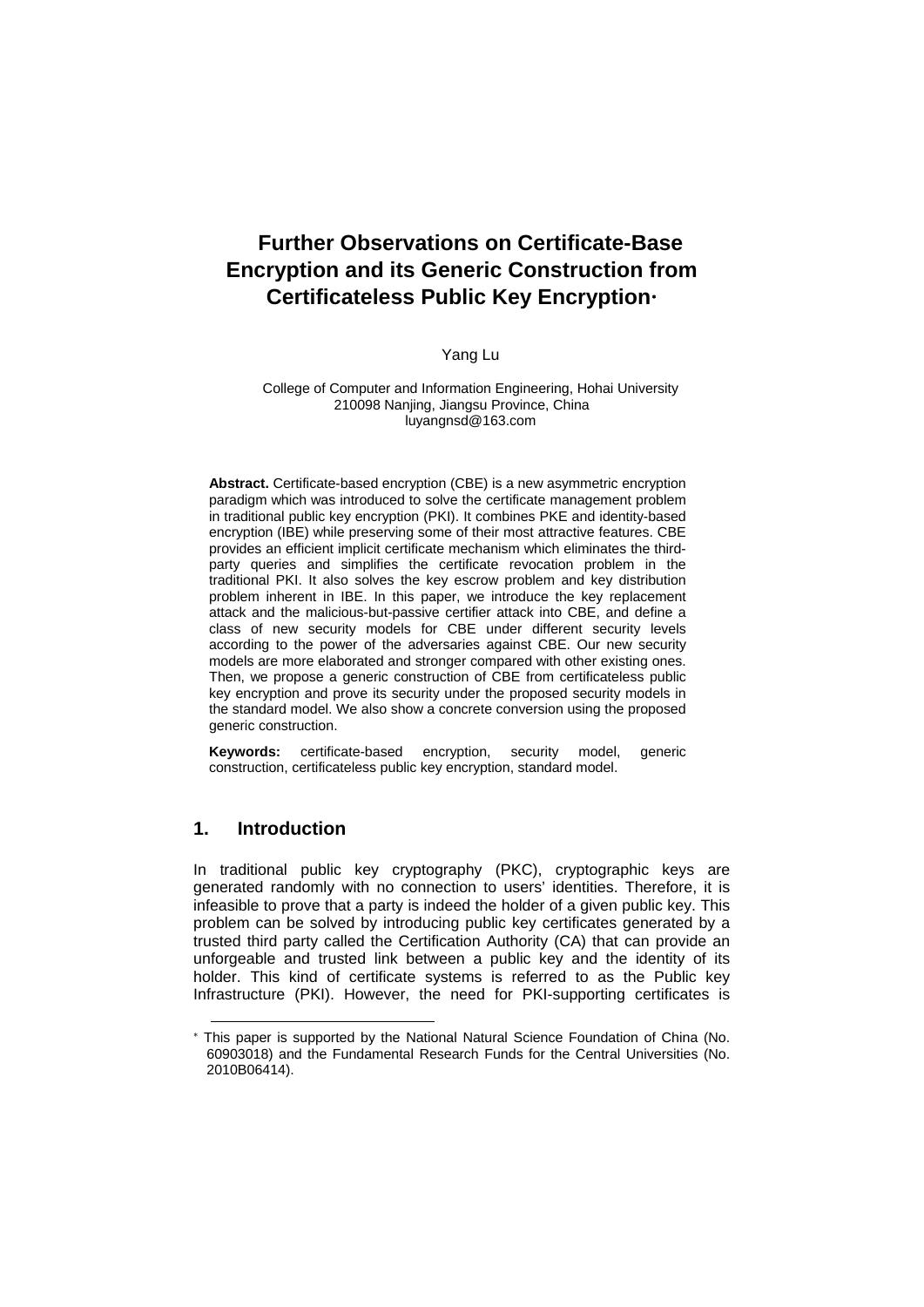# **Further Observations on Certificate-Base Encryption and its Generic Construction from Certificateless Public Key Encryption**[∗](#page-0-0)

Yang Lu

College of Computer and Information Engineering, Hohai University 210098 Nanjing, Jiangsu Province, China luyangnsd@163.com

**Abstract.** Certificate-based encryption (CBE) is a new asymmetric encryption paradigm which was introduced to solve the certificate management problem in traditional public key encryption (PKI). It combines PKE and identity-based encryption (IBE) while preserving some of their most attractive features. CBE provides an efficient implicit certificate mechanism which eliminates the thirdparty queries and simplifies the certificate revocation problem in the traditional PKI. It also solves the key escrow problem and key distribution problem inherent in IBE. In this paper, we introduce the key replacement attack and the malicious-but-passive certifier attack into CBE, and define a class of new security models for CBE under different security levels according to the power of the adversaries against CBE. Our new security models are more elaborated and stronger compared with other existing ones. Then, we propose a generic construction of CBE from certificateless public key encryption and prove its security under the proposed security models in the standard model. We also show a concrete conversion using the proposed generic construction.

**Keywords:** certificate-based encryption, security model, generic construction, certificateless public key encryption, standard model.

### **1. Introduction**

-

In traditional public key cryptography (PKC), cryptographic keys are generated randomly with no connection to users' identities. Therefore, it is infeasible to prove that a party is indeed the holder of a given public key. This problem can be solved by introducing public key certificates generated by a trusted third party called the Certification Authority (CA) that can provide an unforgeable and trusted link between a public key and the identity of its holder. This kind of certificate systems is referred to as the Public key Infrastructure (PKI). However, the need for PKI-supporting certificates is

<span id="page-0-0"></span><sup>∗</sup> This paper is supported by the National Natural Science Foundation of China (No. 60903018) and the Fundamental Research Funds for the Central Universities (No. 2010B06414).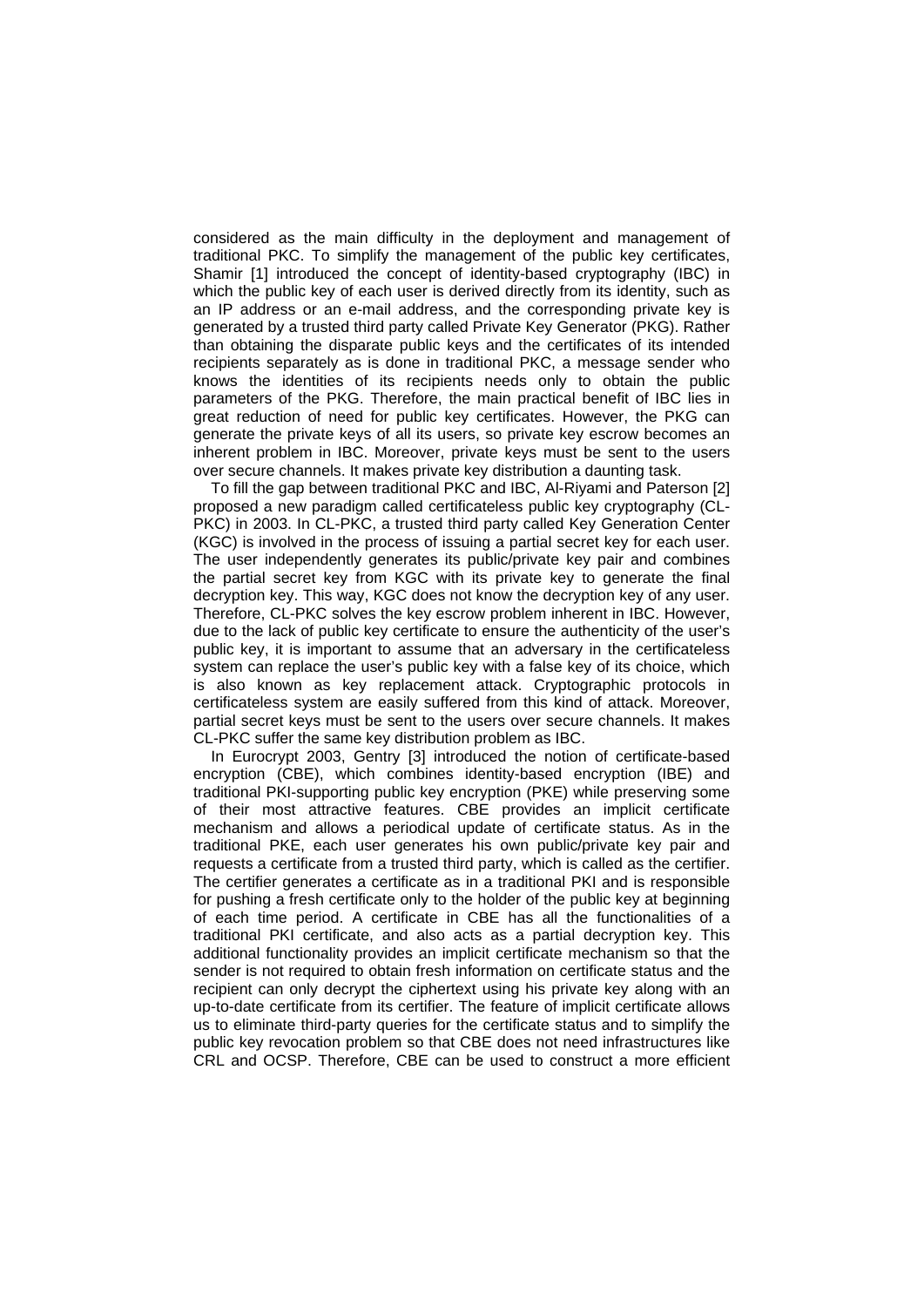considered as the main difficulty in the deployment and management of traditional PKC. To simplify the management of the public key certificates, Shamir [1] introduced the concept of identity-based cryptography (IBC) in which the public key of each user is derived directly from its identity, such as an IP address or an e-mail address, and the corresponding private key is generated by a trusted third party called Private Key Generator (PKG). Rather than obtaining the disparate public keys and the certificates of its intended recipients separately as is done in traditional PKC, a message sender who knows the identities of its recipients needs only to obtain the public parameters of the PKG. Therefore, the main practical benefit of IBC lies in great reduction of need for public key certificates. However, the PKG can generate the private keys of all its users, so private key escrow becomes an inherent problem in IBC. Moreover, private keys must be sent to the users over secure channels. It makes private key distribution a daunting task.

To fill the gap between traditional PKC and IBC, Al-Riyami and Paterson [2] proposed a new paradigm called certificateless public key cryptography (CL-PKC) in 2003. In CL-PKC, a trusted third party called Key Generation Center (KGC) is involved in the process of issuing a partial secret key for each user. The user independently generates its public/private key pair and combines the partial secret key from KGC with its private key to generate the final decryption key. This way, KGC does not know the decryption key of any user. Therefore, CL-PKC solves the key escrow problem inherent in IBC. However, due to the lack of public key certificate to ensure the authenticity of the user's public key, it is important to assume that an adversary in the certificateless system can replace the user's public key with a false key of its choice, which is also known as key replacement attack. Cryptographic protocols in certificateless system are easily suffered from this kind of attack. Moreover, partial secret keys must be sent to the users over secure channels. It makes CL-PKC suffer the same key distribution problem as IBC.

In Eurocrypt 2003, Gentry [3] introduced the notion of certificate-based encryption (CBE), which combines identity-based encryption (IBE) and traditional PKI-supporting public key encryption (PKE) while preserving some of their most attractive features. CBE provides an implicit certificate mechanism and allows a periodical update of certificate status. As in the traditional PKE, each user generates his own public/private key pair and requests a certificate from a trusted third party, which is called as the certifier. The certifier generates a certificate as in a traditional PKI and is responsible for pushing a fresh certificate only to the holder of the public key at beginning of each time period. A certificate in CBE has all the functionalities of a traditional PKI certificate, and also acts as a partial decryption key. This additional functionality provides an implicit certificate mechanism so that the sender is not required to obtain fresh information on certificate status and the recipient can only decrypt the ciphertext using his private key along with an up-to-date certificate from its certifier. The feature of implicit certificate allows us to eliminate third-party queries for the certificate status and to simplify the public key revocation problem so that CBE does not need infrastructures like CRL and OCSP. Therefore, CBE can be used to construct a more efficient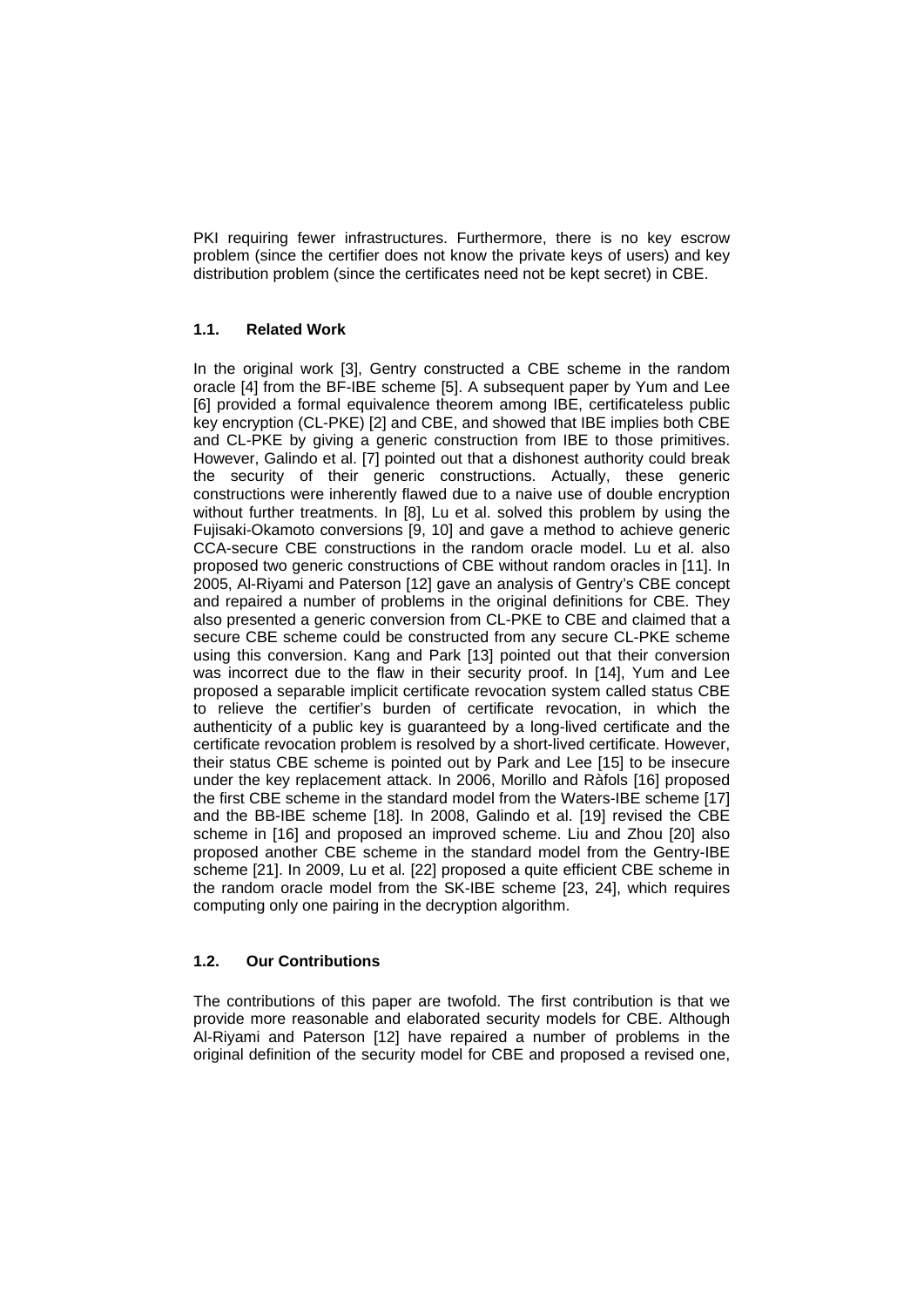PKI requiring fewer infrastructures. Furthermore, there is no key escrow problem (since the certifier does not know the private keys of users) and key distribution problem (since the certificates need not be kept secret) in CBE.

### **1.1. Related Work**

In the original work [3], Gentry constructed a CBE scheme in the random oracle [4] from the BF-IBE scheme [5]. A subsequent paper by Yum and Lee [6] provided a formal equivalence theorem among IBE, certificateless public key encryption (CL-PKE) [2] and CBE, and showed that IBE implies both CBE and CL-PKE by giving a generic construction from IBE to those primitives. However, Galindo et al. [7] pointed out that a dishonest authority could break the security of their generic constructions. Actually, these generic constructions were inherently flawed due to a naive use of double encryption without further treatments. In [8], Lu et al. solved this problem by using the Fujisaki-Okamoto conversions [9, 10] and gave a method to achieve generic CCA-secure CBE constructions in the random oracle model. Lu et al. also proposed two generic constructions of CBE without random oracles in [11]. In 2005, Al-Riyami and Paterson [12] gave an analysis of Gentry's CBE concept and repaired a number of problems in the original definitions for CBE. They also presented a generic conversion from CL-PKE to CBE and claimed that a secure CBE scheme could be constructed from any secure CL-PKE scheme using this conversion. Kang and Park [13] pointed out that their conversion was incorrect due to the flaw in their security proof. In [14], Yum and Lee proposed a separable implicit certificate revocation system called status CBE to relieve the certifier's burden of certificate revocation, in which the authenticity of a public key is guaranteed by a long-lived certificate and the certificate revocation problem is resolved by a short-lived certificate. However, their status CBE scheme is pointed out by Park and Lee [15] to be insecure under the key replacement attack. In 2006, Morillo and Ràfols [16] proposed the first CBE scheme in the standard model from the Waters-IBE scheme [17] and the BB-IBE scheme [18]. In 2008, Galindo et al. [19] revised the CBE scheme in [16] and proposed an improved scheme. Liu and Zhou [20] also proposed another CBE scheme in the standard model from the Gentry-IBE scheme [21]. In 2009, Lu et al. [22] proposed a quite efficient CBE scheme in the random oracle model from the SK-IBE scheme [23, 24], which requires computing only one pairing in the decryption algorithm.

### **1.2. Our Contributions**

The contributions of this paper are twofold. The first contribution is that we provide more reasonable and elaborated security models for CBE. Although Al-Riyami and Paterson [12] have repaired a number of problems in the original definition of the security model for CBE and proposed a revised one,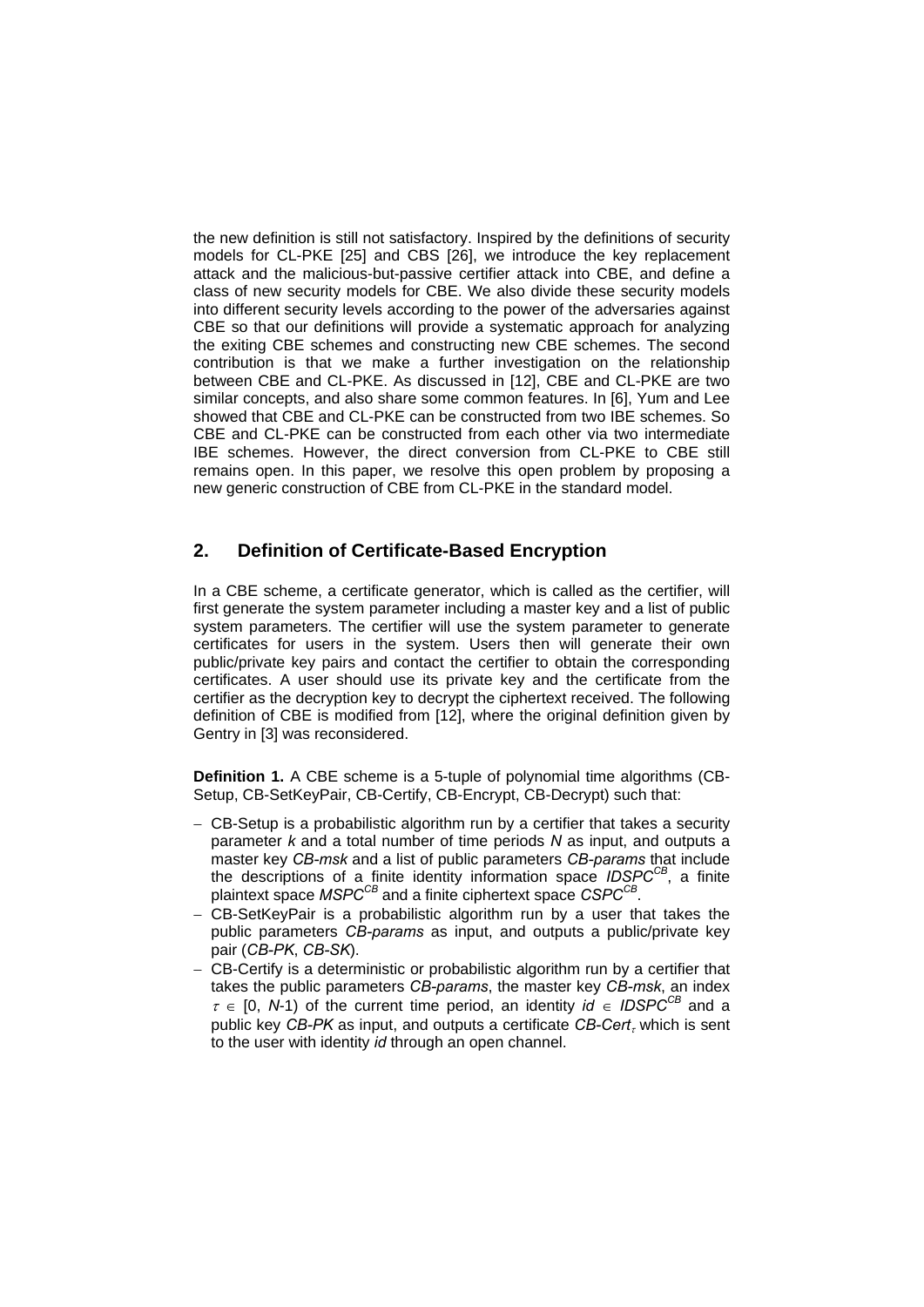the new definition is still not satisfactory. Inspired by the definitions of security models for CL-PKE [25] and CBS [26], we introduce the key replacement attack and the malicious-but-passive certifier attack into CBE, and define a class of new security models for CBE. We also divide these security models into different security levels according to the power of the adversaries against CBE so that our definitions will provide a systematic approach for analyzing the exiting CBE schemes and constructing new CBE schemes. The second contribution is that we make a further investigation on the relationship between CBE and CL-PKE. As discussed in [12], CBE and CL-PKE are two similar concepts, and also share some common features. In [6], Yum and Lee showed that CBE and CL-PKE can be constructed from two IBE schemes. So CBE and CL-PKE can be constructed from each other via two intermediate IBE schemes. However, the direct conversion from CL-PKE to CBE still remains open. In this paper, we resolve this open problem by proposing a new generic construction of CBE from CL-PKE in the standard model.

# **2. Definition of Certificate-Based Encryption**

In a CBE scheme, a certificate generator, which is called as the certifier, will first generate the system parameter including a master key and a list of public system parameters. The certifier will use the system parameter to generate certificates for users in the system. Users then will generate their own public/private key pairs and contact the certifier to obtain the corresponding certificates. A user should use its private key and the certificate from the certifier as the decryption key to decrypt the ciphertext received. The following definition of CBE is modified from [12], where the original definition given by Gentry in [3] was reconsidered.

**Definition 1.** A CBE scheme is a 5-tuple of polynomial time algorithms (CB-Setup, CB-SetKeyPair, CB-Certify, CB-Encrypt, CB-Decrypt) such that:

- − CB-Setup is a probabilistic algorithm run by a certifier that takes a security parameter *k* and a total number of time periods *N* as input, and outputs a master key *CB-msk* and a list of public parameters *CB-params* that include the descriptions of a finite identity information space *IDSPCCB*, a finite plaintext space *MSPCCB* and a finite ciphertext space *CSPCCB*.
- − CB-SetKeyPair is a probabilistic algorithm run by a user that takes the public parameters *CB-params* as input, and outputs a public/private key pair (*CB-PK*, *CB-SK*).
- − CB-Certify is a deterministic or probabilistic algorithm run by a certifier that takes the public parameters *CB-params*, the master key *CB-msk*, an index  $\tau \in [0, N-1)$  of the current time period, an identity  $id \in IDSPC^{CB}$  and a public key *CB-PK* as input, and outputs a certificate *CB-Cert<sub>r</sub>* which is sent to the user with identity *id* through an open channel.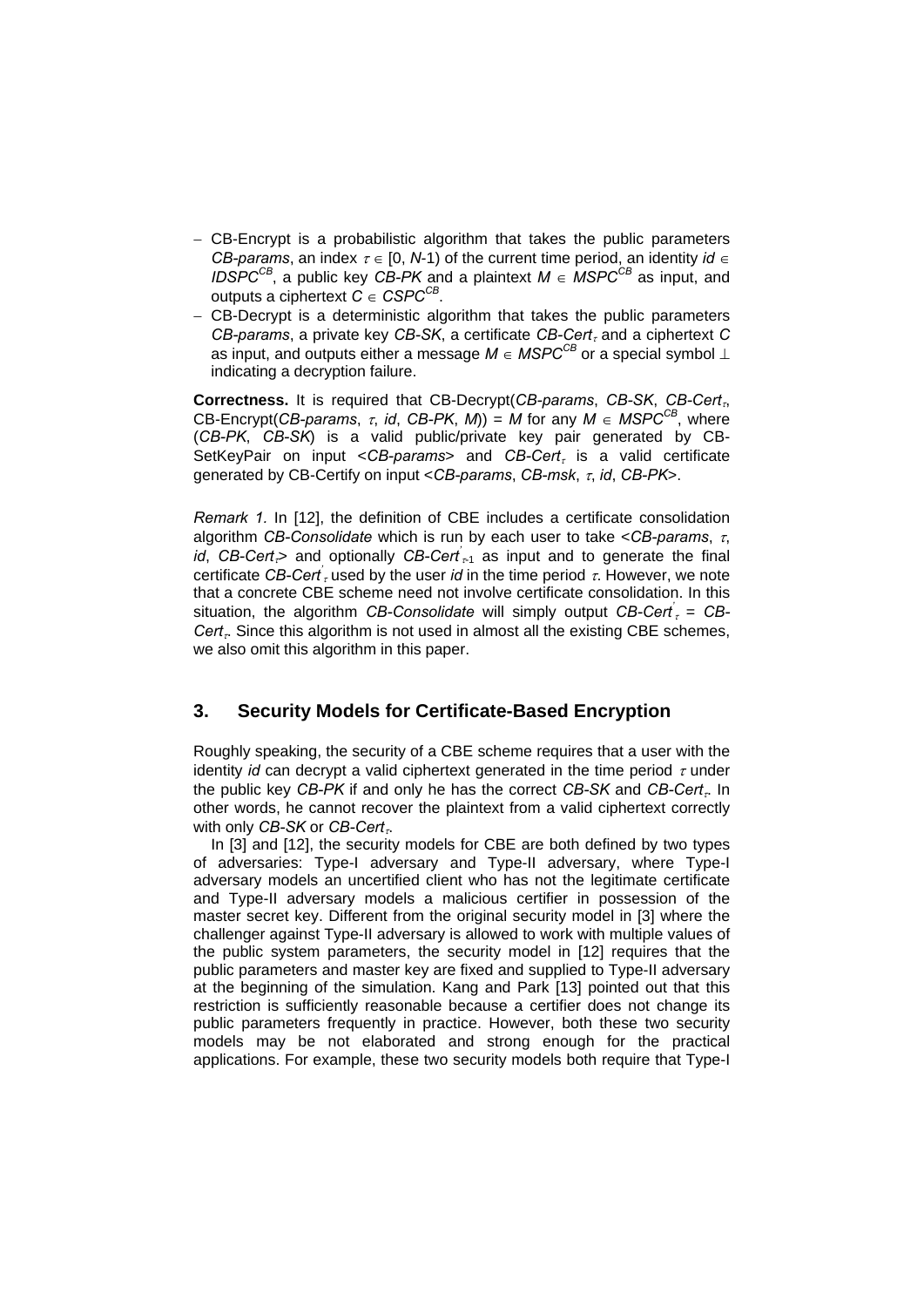- − CB-Encrypt is a probabilistic algorithm that takes the public parameters *CB-params*, an index  $\tau \in [0, N-1)$  of the current time period, an identity *id*  $\in$ *IDSPC<sup>CB</sup>*, a public key *CB-PK* and a plaintext  $M \in MSPC^{CB}$  as input, and outputs a ciphertext  $\vec{C} \in \text{CSPC}^{CB}$ .
- − CB-Decrypt is a deterministic algorithm that takes the public parameters *CB-params*, a private key *CB-SK*, a certificate *CB-Cert<sub>z</sub>* and a ciphertext *C* as input, and outputs either a message *M* ∈ *MSPCCB* or a special symbol ⊥ indicating a decryption failure.

**Correctness.** It is required that CB-Decrypt(*CB-params*, *CB-SK*, *CB-Cert<sub>τ</sub>*, CB-Encrypt(*CB-params*,  $\tau$ , *id*, *CB-PK*, *M*)) = *M* for any  $M \in MSPC^{CB}$ , where (*CB-PK*, *CB-SK*) is a valid public/private key pair generated by CB-SetKeyPair on input <CB-params> and CB-Cert<sub>r</sub> is a valid certificate generated by CB-Certify on input <*CB-params*, *CB-msk*, τ, *id*, *CB-PK*>.

*Remark 1.* In [12], the definition of CBE includes a certificate consolidation algorithm *CB-Consolidate* which is run by each user to take <*CB-params*, τ, *id*, *CB-Cert*<sub>i</sub> and optionally *CB-Cert*<sub>τ-1</sub> as input and to generate the final certificate *CB-Cert*<sup> $\ell$ </sup><sub>*τ*</sub> used by the user *id* in the time period  $\tau$ . However, we note that a concrete CBE scheme need not involve certificate consolidation. In this situation, the algorithm *CB-Consolidate* will simply output *CB-Cert<sup>'</sup><sub>r</sub>* = *CB-Cert<sub>r</sub>*. Since this algorithm is not used in almost all the existing CBE schemes, we also omit this algorithm in this paper.

# **3. Security Models for Certificate-Based Encryption**

Roughly speaking, the security of a CBE scheme requires that a user with the identity *id* can decrypt a valid ciphertext generated in the time period  $\tau$  under the public key *CB-PK* if and only he has the correct *CB-SK* and *CB-Cert*<sub>r</sub>. In other words, he cannot recover the plaintext from a valid ciphertext correctly with only *CB-SK* or *CB-Cert*<sub>2</sub>

In [3] and [12], the security models for CBE are both defined by two types of adversaries: Type-I adversary and Type-II adversary, where Type-I adversary models an uncertified client who has not the legitimate certificate and Type-II adversary models a malicious certifier in possession of the master secret key. Different from the original security model in [3] where the challenger against Type-II adversary is allowed to work with multiple values of the public system parameters, the security model in [12] requires that the public parameters and master key are fixed and supplied to Type-II adversary at the beginning of the simulation. Kang and Park [13] pointed out that this restriction is sufficiently reasonable because a certifier does not change its public parameters frequently in practice. However, both these two security models may be not elaborated and strong enough for the practical applications. For example, these two security models both require that Type-I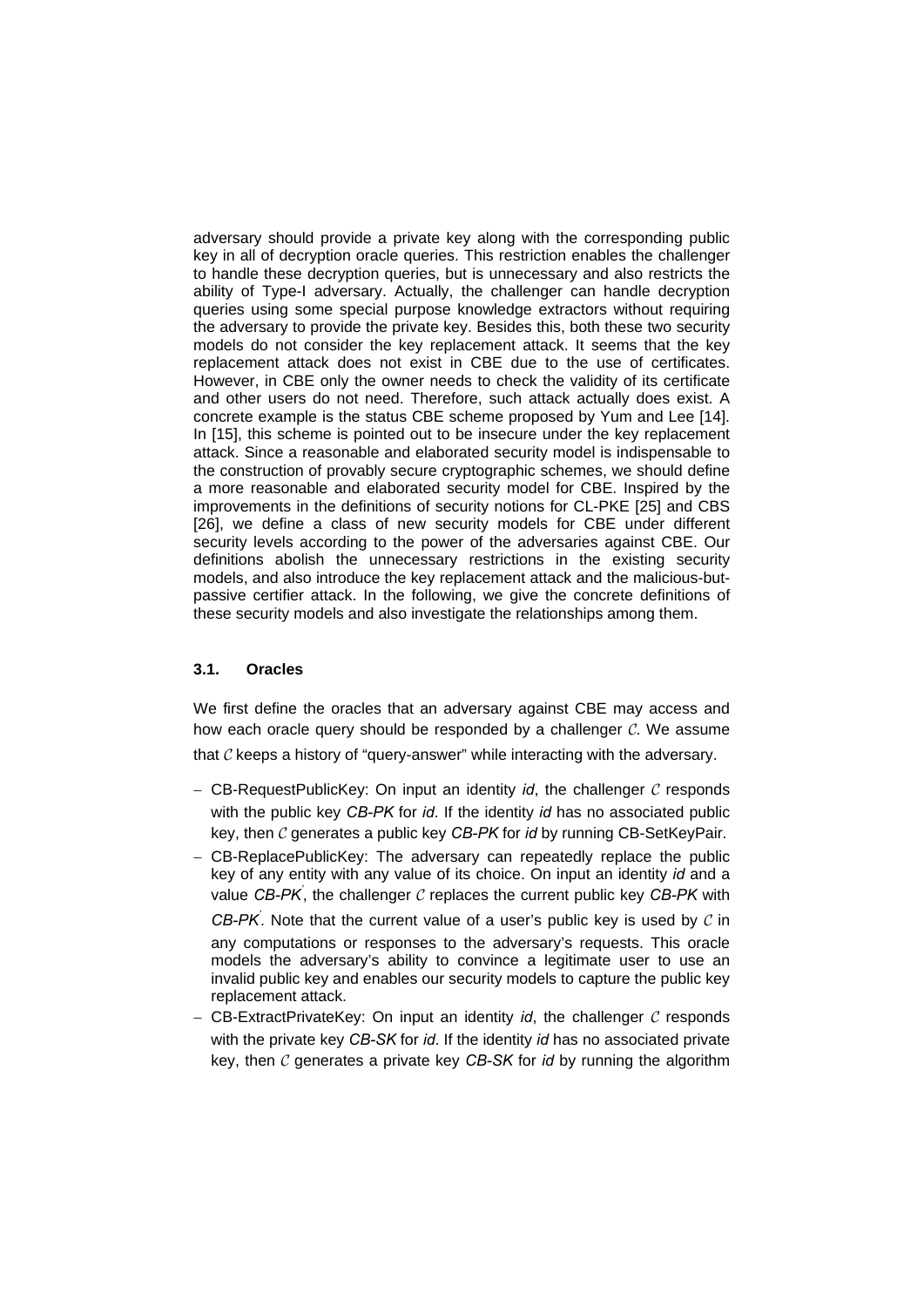adversary should provide a private key along with the corresponding public key in all of decryption oracle queries. This restriction enables the challenger to handle these decryption queries, but is unnecessary and also restricts the ability of Type-I adversary. Actually, the challenger can handle decryption queries using some special purpose knowledge extractors without requiring the adversary to provide the private key. Besides this, both these two security models do not consider the key replacement attack. It seems that the key replacement attack does not exist in CBE due to the use of certificates. However, in CBE only the owner needs to check the validity of its certificate and other users do not need. Therefore, such attack actually does exist. A concrete example is the status CBE scheme proposed by Yum and Lee [14]. In [15], this scheme is pointed out to be insecure under the key replacement attack. Since a reasonable and elaborated security model is indispensable to the construction of provably secure cryptographic schemes, we should define a more reasonable and elaborated security model for CBE. Inspired by the improvements in the definitions of security notions for CL-PKE [25] and CBS [26], we define a class of new security models for CBE under different security levels according to the power of the adversaries against CBE. Our definitions abolish the unnecessary restrictions in the existing security models, and also introduce the key replacement attack and the malicious-butpassive certifier attack. In the following, we give the concrete definitions of these security models and also investigate the relationships among them.

### **3.1. Oracles**

We first define the oracles that an adversary against CBE may access and how each oracle query should be responded by a challenger  $C$ . We assume that  $\mathcal C$  keeps a history of "query-answer" while interacting with the adversary.

- − CB-RequestPublicKey: On input an identity *id*, the challenger C responds with the public key *CB-PK* for *id*. If the identity *id* has no associated public key, then C generates a public key *CB-PK* for *id* by running CB-SetKeyPair.
- − CB-ReplacePublicKey: The adversary can repeatedly replace the public key of any entity with any value of its choice. On input an identity *id* and a value *CB-PK'* , the challenger C replaces the current public key *CB-PK* with

 $CB-PK$ . Note that the current value of a user's public key is used by  $C$  in any computations or responses to the adversary's requests. This oracle models the adversary's ability to convince a legitimate user to use an invalid public key and enables our security models to capture the public key replacement attack.

− CB-ExtractPrivateKey: On input an identity *id*, the challenger C responds with the private key *CB-SK* for *id*. If the identity *id* has no associated private key, then C generates a private key *CB-SK* for *id* by running the algorithm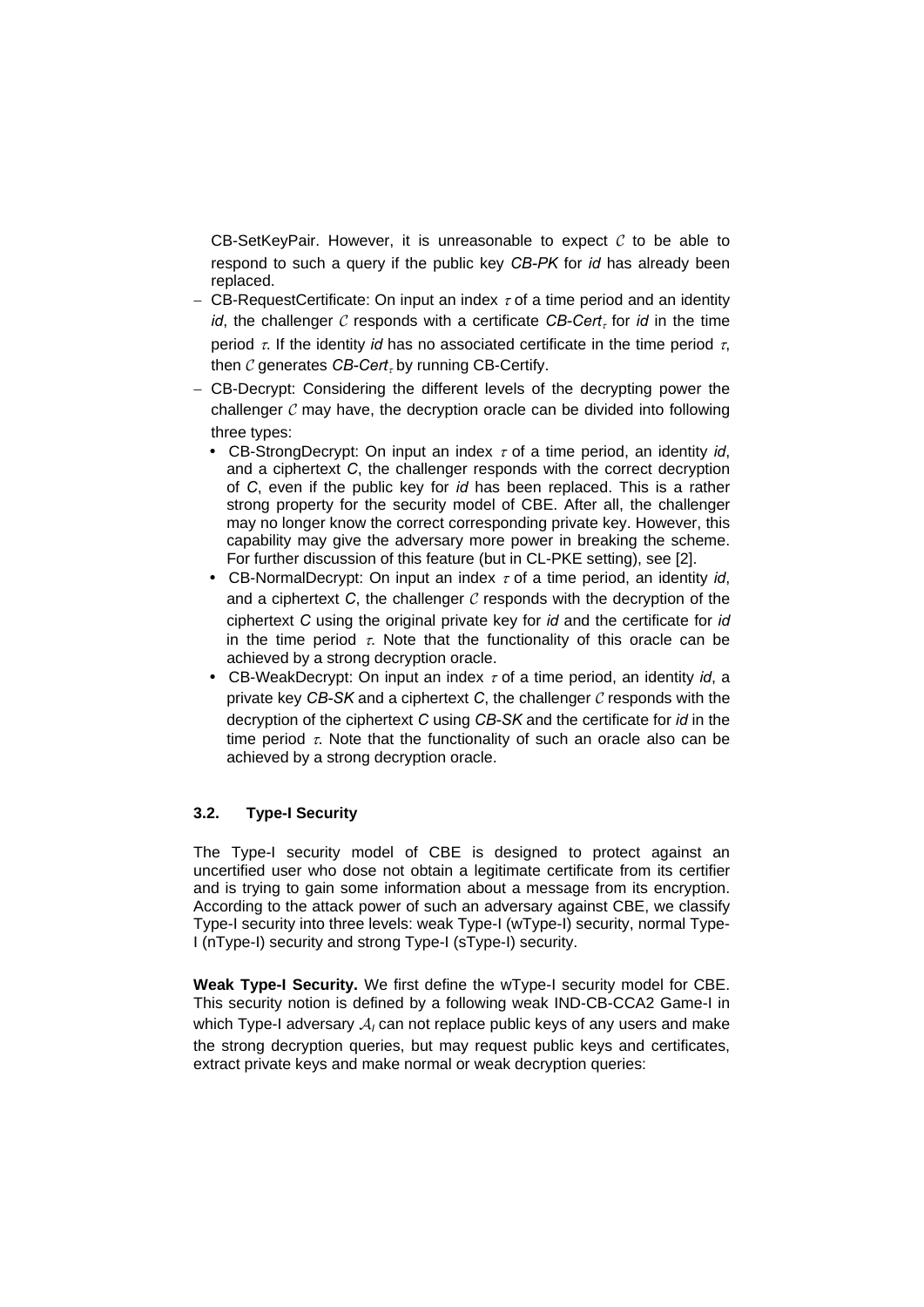CB-SetKeyPair. However, it is unreasonable to expect  $C$  to be able to respond to such a query if the public key *CB-PK* for *id* has already been replaced.

CB-RequestCertificate: On input an index  $\tau$  of a time period and an identity *id*, the challenger  $C$  responds with a certificate *CB-Cert<sub>z</sub>* for *id* in the time

period  $τ$ . If the identity *id* has no associated certificate in the time period  $τ$ , then  $C$  generates  $CB\text{-}Cent_{\tau}$  by running CB-Certify.

- − CB-Decrypt: Considering the different levels of the decrypting power the challenger  $\mathcal C$  may have, the decryption oracle can be divided into following three types:
	- CB-StrongDecrypt: On input an index  $\tau$  of a time period, an identity *id*, and a ciphertext *C*, the challenger responds with the correct decryption of *C*, even if the public key for *id* has been replaced. This is a rather strong property for the security model of CBE. After all, the challenger may no longer know the correct corresponding private key. However, this capability may give the adversary more power in breaking the scheme. For further discussion of this feature (but in CL-PKE setting), see [2].
	- CB-NormalDecrypt: On input an index  $\tau$  of a time period, an identity *id*, and a ciphertext  $C$ , the challenger  $C$  responds with the decryption of the ciphertext *C* using the original private key for *id* and the certificate for *id* in the time period  $\tau$ . Note that the functionality of this oracle can be achieved by a strong decryption oracle.
	- CB-WeakDecrypt: On input an index  $\tau$  of a time period, an identity *id*, a private key  $CB-SK$  and a ciphertext  $C$ , the challenger  $C$  responds with the decryption of the ciphertext *C* using *CB-SK* and the certificate for *id* in the time period  $\tau$ . Note that the functionality of such an oracle also can be achieved by a strong decryption oracle.

# **3.2. Type-I Security**

The Type-I security model of CBE is designed to protect against an uncertified user who dose not obtain a legitimate certificate from its certifier and is trying to gain some information about a message from its encryption. According to the attack power of such an adversary against CBE, we classify Type-I security into three levels: weak Type-I (wType-I) security, normal Type-I (nType-I) security and strong Type-I (sType-I) security.

**Weak Type-I Security.** We first define the wType-I security model for CBE. This security notion is defined by a following weak IND-CB-CCA2 Game-I in which Type-I adversary A*I* can not replace public keys of any users and make the strong decryption queries, but may request public keys and certificates, extract private keys and make normal or weak decryption queries: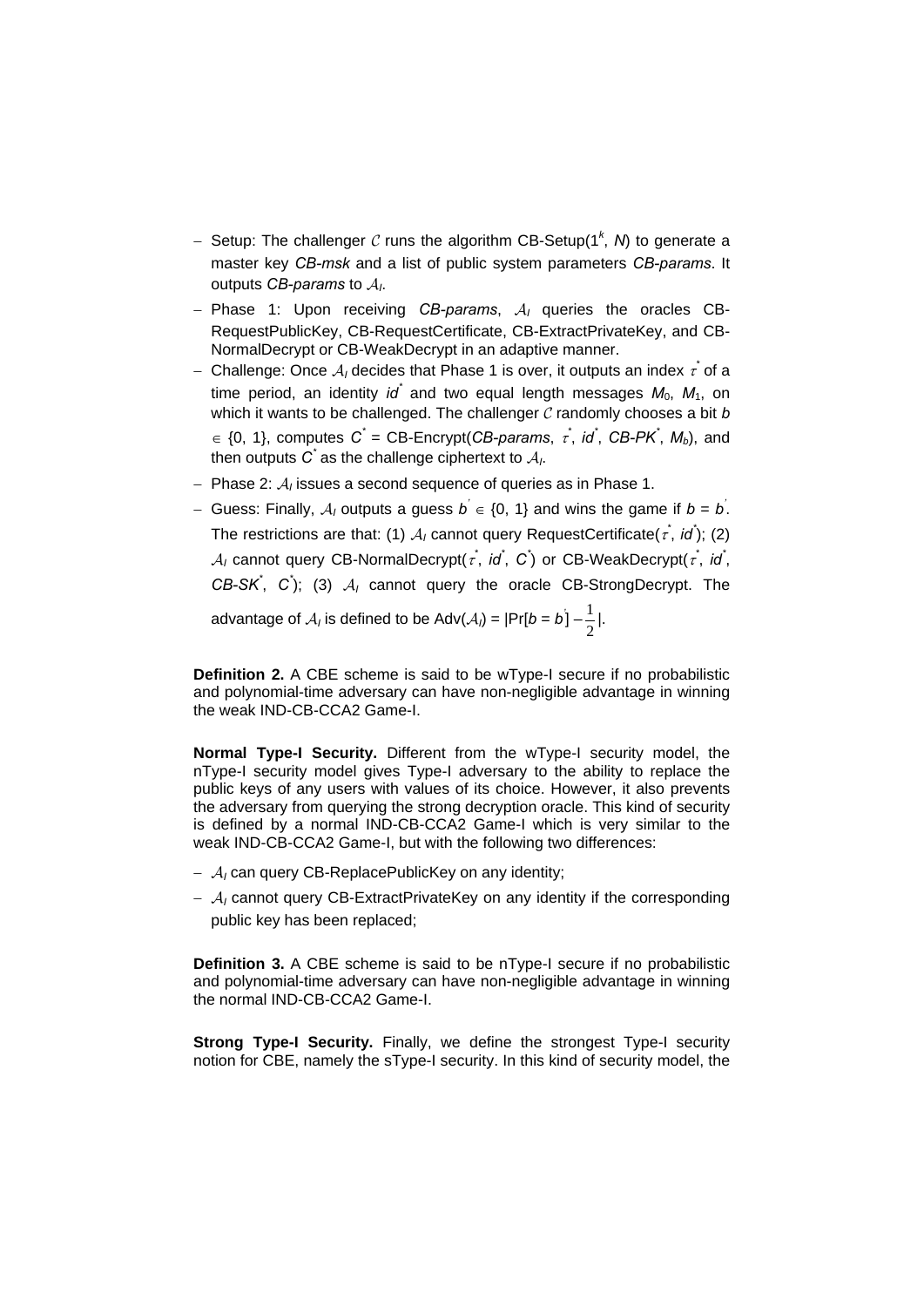- − Setup: The challenger C runs the algorithm CB-Setup(1*<sup>k</sup>* , *N*) to generate a master key *CB-msk* and a list of public system parameters *CB-params*. It outputs *CB-params* to A*I*.
- − Phase 1: Upon receiving *CB-params*, A*I* queries the oracles CB-RequestPublicKey, CB-RequestCertificate, CB-ExtractPrivateKey, and CB-NormalDecrypt or CB-WeakDecrypt in an adaptive manner.
- − Challenge: Once A*I* decides that Phase 1 is over, it outputs an index <sup>τ</sup> *\** of a time period, an identity *id*<sup>\*</sup> and two equal length messages  $M_0$ ,  $M_1$ , on which it wants to be challenged. The challenger  $C$  randomly chooses a bit *b*  $\in$  {0, 1}, computes  $C^* =$  CB-Encrypt(*CB-params*,  $\tau^*$ , *id*<sup>\*</sup>, *CB-PK*<sup>\*</sup>, *M<sub>b</sub>*), and then outputs  $C^*$  as the challenge ciphertext to  $\mathcal{A}_l$ .
- − Phase 2: A*I* issues a second sequence of queries as in Phase 1.
- − Guess: Finally, A*I* outputs a guess *b'* ∈ {0, 1} and wins the game if *b* = *b'* . The restrictions are that: (1) A*I* cannot query RequestCertificate(<sup>τ</sup> *\** , *id\** ); (2)  $\mathcal{A}_I$  cannot query CB-NormalDecrypt( $\tau$ <sup>\*</sup>, *id*<sup>\*</sup>, C<sup>\*</sup>) or CB-WeakDecrypt( $\tau$ <sup>\*</sup>, *id*<sup>\*</sup>, *CB-SK\** , *C\** ); (3) A*I* cannot query the oracle CB-StrongDecrypt. The advantage of  $A_l$  is defined to be Adv( $A_l$ ) =  $|Pr[b = b] - \frac{1}{2}|$ .

**Definition 2.** A CBE scheme is said to be wType-I secure if no probabilistic and polynomial-time adversary can have non-negligible advantage in winning the weak IND-CB-CCA2 Game-I.

**Normal Type-I Security.** Different from the wType-I security model, the nType-I security model gives Type-I adversary to the ability to replace the public keys of any users with values of its choice. However, it also prevents the adversary from querying the strong decryption oracle. This kind of security is defined by a normal IND-CB-CCA2 Game-I which is very similar to the weak IND-CB-CCA2 Game-I, but with the following two differences:

- − A*I* can query CB-ReplacePublicKey on any identity;
- − A*I* cannot query CB-ExtractPrivateKey on any identity if the corresponding public key has been replaced;

**Definition 3.** A CBE scheme is said to be nType-I secure if no probabilistic and polynomial-time adversary can have non-negligible advantage in winning the normal IND-CB-CCA2 Game-I.

**Strong Type-I Security.** Finally, we define the strongest Type-I security notion for CBE, namely the sType-I security. In this kind of security model, the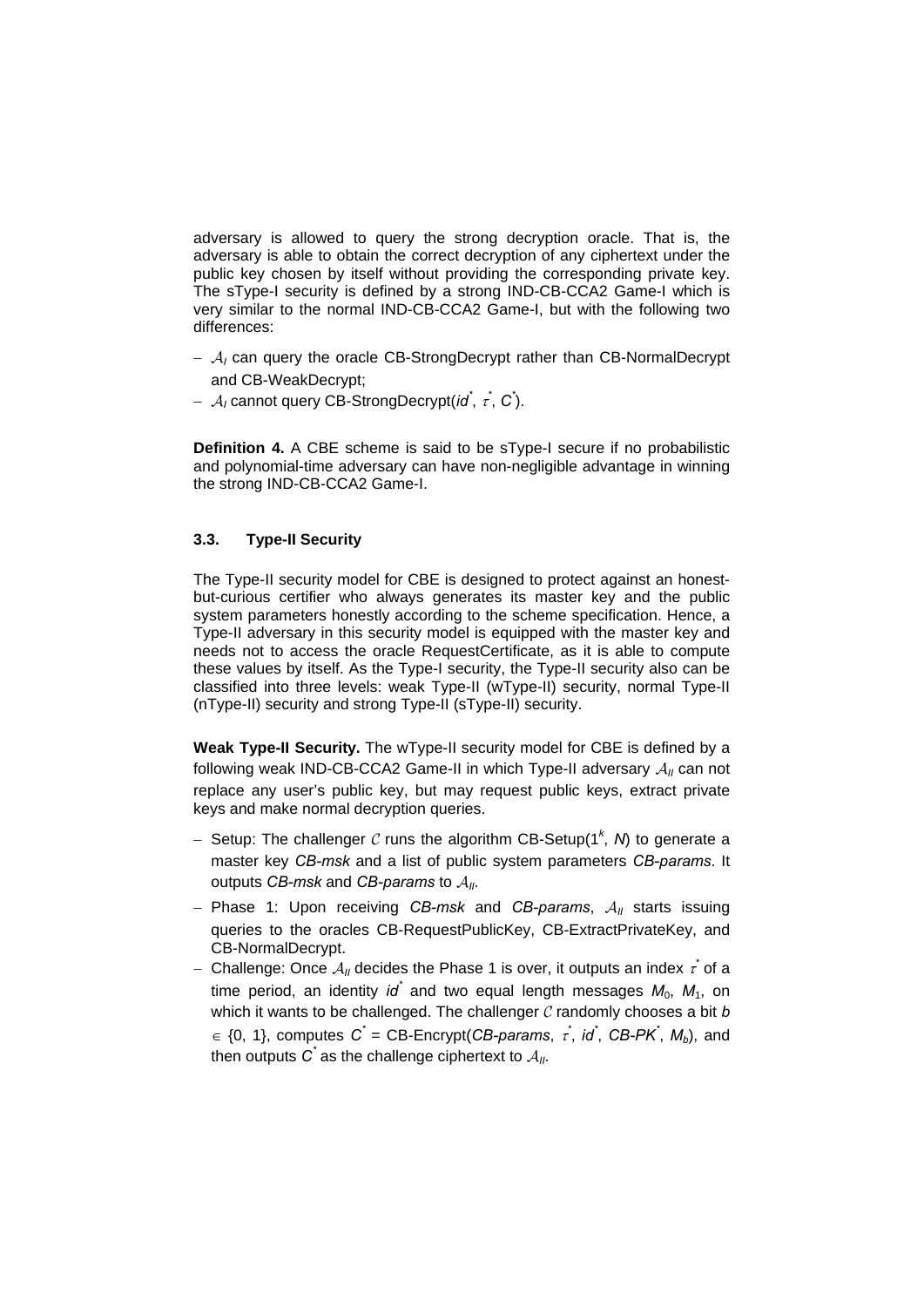adversary is allowed to query the strong decryption oracle. That is, the adversary is able to obtain the correct decryption of any ciphertext under the public key chosen by itself without providing the corresponding private key. The sType-I security is defined by a strong IND-CB-CCA2 Game-I which is very similar to the normal IND-CB-CCA2 Game-I, but with the following two differences:

- − A*I* can query the oracle CB-StrongDecrypt rather than CB-NormalDecrypt and CB-WeakDecrypt;
- − A*I* cannot query CB-StrongDecrypt(*id\** , <sup>τ</sup> *\** , *C\** ).

**Definition 4.** A CBE scheme is said to be sType-I secure if no probabilistic and polynomial-time adversary can have non-negligible advantage in winning the strong IND-CB-CCA2 Game-I.

## **3.3. Type-II Security**

The Type-II security model for CBE is designed to protect against an honestbut-curious certifier who always generates its master key and the public system parameters honestly according to the scheme specification. Hence, a Type-II adversary in this security model is equipped with the master key and needs not to access the oracle RequestCertificate, as it is able to compute these values by itself. As the Type-I security, the Type-II security also can be classified into three levels: weak Type-II (wType-II) security, normal Type-II (nType-II) security and strong Type-II (sType-II) security.

**Weak Type-II Security.** The wType-II security model for CBE is defined by a following weak IND-CB-CCA2 Game-II in which Type-II adversary A*II* can not replace any user's public key, but may request public keys, extract private keys and make normal decryption queries.

- − Setup: The challenger C runs the algorithm CB-Setup(1*<sup>k</sup>* , *N*) to generate a master key *CB-msk* and a list of public system parameters *CB-params*. It outputs *CB-msk* and *CB-params* to A*II*.
- − Phase 1: Upon receiving *CB-msk* and *CB-params*, A*II* starts issuing queries to the oracles CB-RequestPublicKey, CB-ExtractPrivateKey, and CB-NormalDecrypt.
- − Challenge: Once A*II* decides the Phase 1 is over, it outputs an index <sup>τ</sup> *\** of a time period, an identity *id*<sup>\*</sup> and two equal length messages  $M_0$ ,  $M_1$ , on which it wants to be challenged. The challenger  $\mathcal C$  randomly chooses a bit *b*  $\in$  {0, 1}, computes  $C^* =$  CB-Encrypt(*CB-params*,  $\tau^*$ , *id*<sup>\*</sup>, *CB-PK*<sup>\*</sup>, *M<sub>b</sub>*), and then outputs  $C^*$  as the challenge ciphertext to  $\mathcal{A}_{II}$ .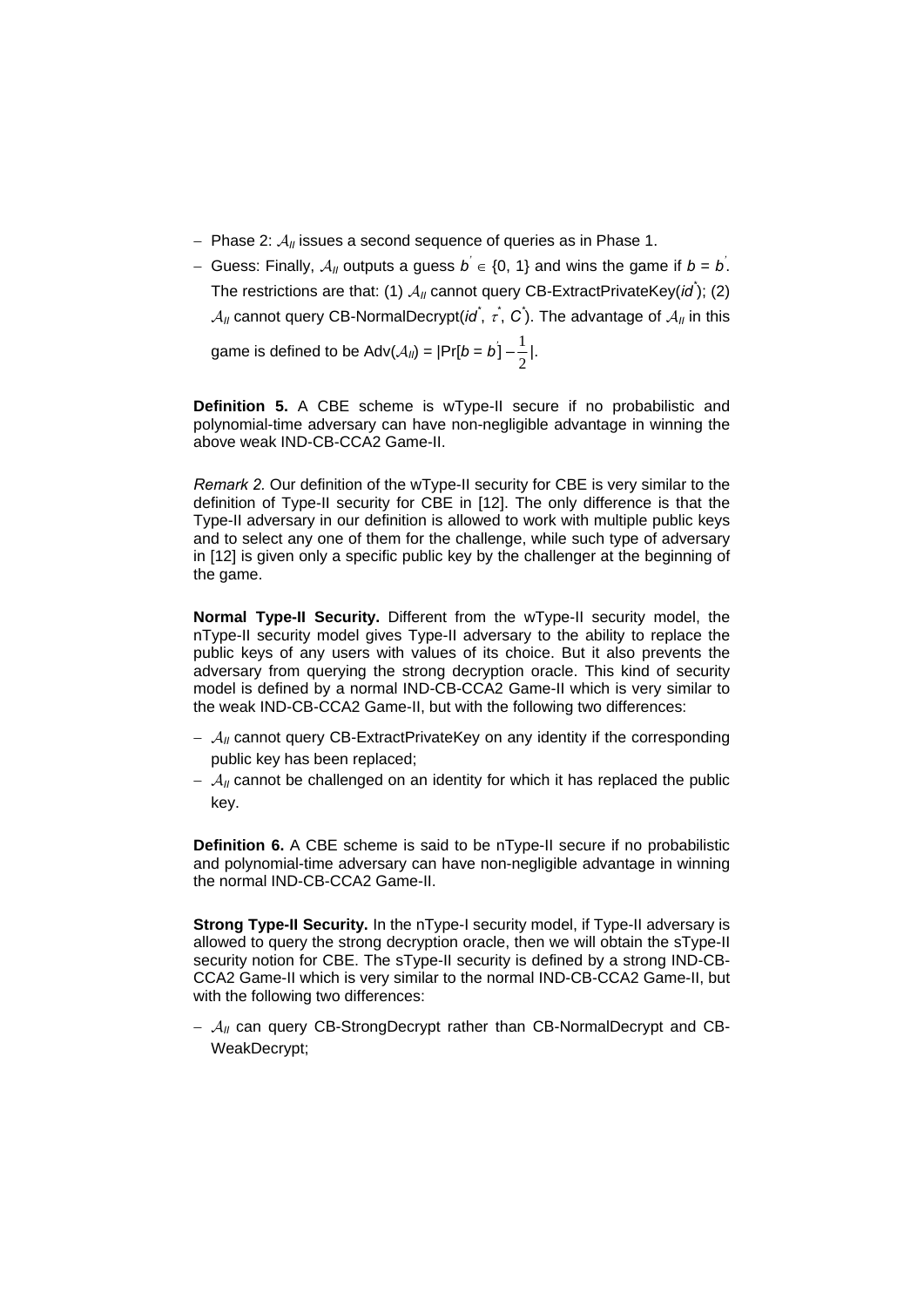- − Phase 2: A*II* issues a second sequence of queries as in Phase 1.
- − Guess: Finally, A*II* outputs a guess *b'* ∈ {0, 1} and wins the game if *b* = *b'* . The restrictions are that: (1) A*II* cannot query CB-ExtractPrivateKey(*id\** ); (2)  $\mathcal{A}_{II}$  cannot query CB-NormalDecrypt(*id*<sup>\*</sup>,  $\tau$ <sup>\*</sup>, C<sup>\*</sup>). The advantage of  $\mathcal{A}_{II}$  in this

game is defined to be Adv( $A_{II}$ ) =  $|Pr[b = b] - \frac{1}{2}|$ .

**Definition 5.** A CBE scheme is wType-II secure if no probabilistic and polynomial-time adversary can have non-negligible advantage in winning the above weak IND-CB-CCA2 Game-II.

*Remark 2.* Our definition of the wType-II security for CBE is very similar to the definition of Type-II security for CBE in [12]. The only difference is that the Type-II adversary in our definition is allowed to work with multiple public keys and to select any one of them for the challenge, while such type of adversary in [12] is given only a specific public key by the challenger at the beginning of the game.

**Normal Type-II Security.** Different from the wType-II security model, the nType-II security model gives Type-II adversary to the ability to replace the public keys of any users with values of its choice. But it also prevents the adversary from querying the strong decryption oracle. This kind of security model is defined by a normal IND-CB-CCA2 Game-II which is very similar to the weak IND-CB-CCA2 Game-II, but with the following two differences:

- − A*II* cannot query CB-ExtractPrivateKey on any identity if the corresponding public key has been replaced;
- − A*II* cannot be challenged on an identity for which it has replaced the public key.

**Definition 6.** A CBE scheme is said to be nType-II secure if no probabilistic and polynomial-time adversary can have non-negligible advantage in winning the normal IND-CB-CCA2 Game-II.

**Strong Type-II Security.** In the nType-I security model, if Type-II adversary is allowed to query the strong decryption oracle, then we will obtain the sType-II security notion for CBE. The sType-II security is defined by a strong IND-CB-CCA2 Game-II which is very similar to the normal IND-CB-CCA2 Game-II, but with the following two differences:

− A*II* can query CB-StrongDecrypt rather than CB-NormalDecrypt and CB-WeakDecrypt;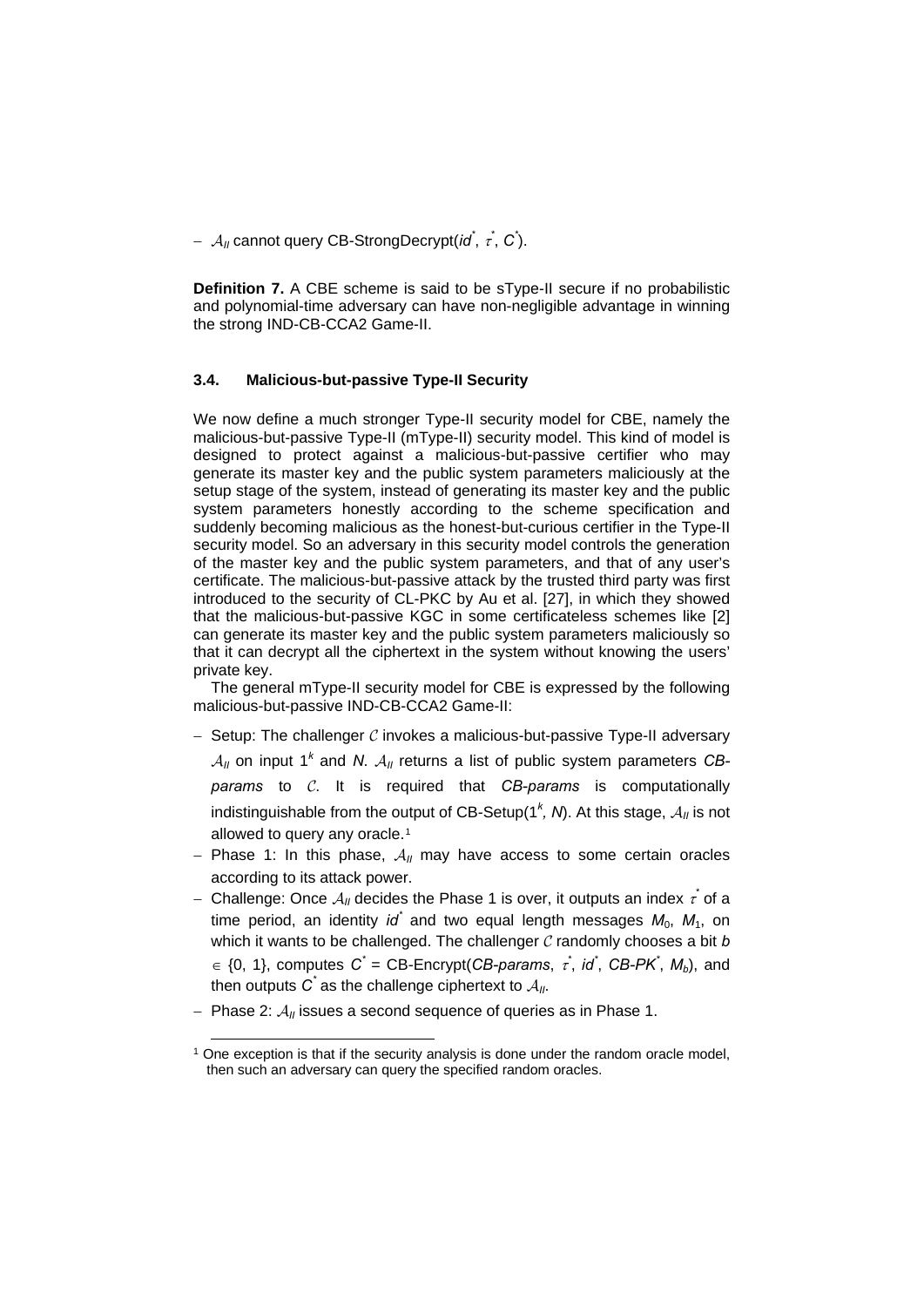− A*II* cannot query CB-StrongDecrypt(*id\** , <sup>τ</sup> *\** , *C\** ).

**Definition 7.** A CBE scheme is said to be sType-II secure if no probabilistic and polynomial-time adversary can have non-negligible advantage in winning the strong IND-CB-CCA2 Game-II.

#### **3.4. Malicious-but-passive Type-II Security**

We now define a much stronger Type-II security model for CBE, namely the malicious-but-passive Type-II (mType-II) security model. This kind of model is designed to protect against a malicious-but-passive certifier who may generate its master key and the public system parameters maliciously at the setup stage of the system, instead of generating its master key and the public system parameters honestly according to the scheme specification and suddenly becoming malicious as the honest-but-curious certifier in the Type-II security model. So an adversary in this security model controls the generation of the master key and the public system parameters, and that of any user's certificate. The malicious-but-passive attack by the trusted third party was first introduced to the security of CL-PKC by Au et al. [27], in which they showed that the malicious-but-passive KGC in some certificateless schemes like [2] can generate its master key and the public system parameters maliciously so that it can decrypt all the ciphertext in the system without knowing the users' private key.

The general mType-II security model for CBE is expressed by the following malicious-but-passive IND-CB-CCA2 Game-II:

 $-$  Setup: The challenger  $\mathcal C$  invokes a malicious-but-passive Type-II adversary

 $A_{II}$  on input 1<sup>k</sup> and *N.*  $A_{II}$  returns a list of public system parameters CB*params* to C. It is required that *CB-params* is computationally indistinguishable from the output of CB-Setup(1<sup>k</sup>, N). At this stage,  $\mathcal{A}_{II}$  is not allowed to query any oracle.<sup>[1](#page-10-0)</sup>

- − Phase 1: In this phase, A*II* may have access to some certain oracles according to its attack power.
- − Challenge: Once A*II* decides the Phase 1 is over, it outputs an index <sup>τ</sup> *\** of a time period, an identity *id*<sup>\*</sup> and two equal length messages  $M_0$ ,  $M_1$ , on which it wants to be challenged. The challenger  $C$  randomly chooses a bit *b*  $\in$  {0, 1}, computes  $C^* =$  CB-Encrypt(*CB-params*,  $\tau^*$ , *id*<sup>\*</sup>, *CB-PK*<sup>\*</sup>, *M<sub>b</sub>*), and then outputs  $C^*$  as the challenge ciphertext to  $\mathcal{A}_{II}$ .
- Phase 2:  $A$ <sub>*II*</sub> issues a second sequence of queries as in Phase 1.

<span id="page-10-0"></span> $1$  One exception is that if the security analysis is done under the random oracle model, then such an adversary can query the specified random oracles.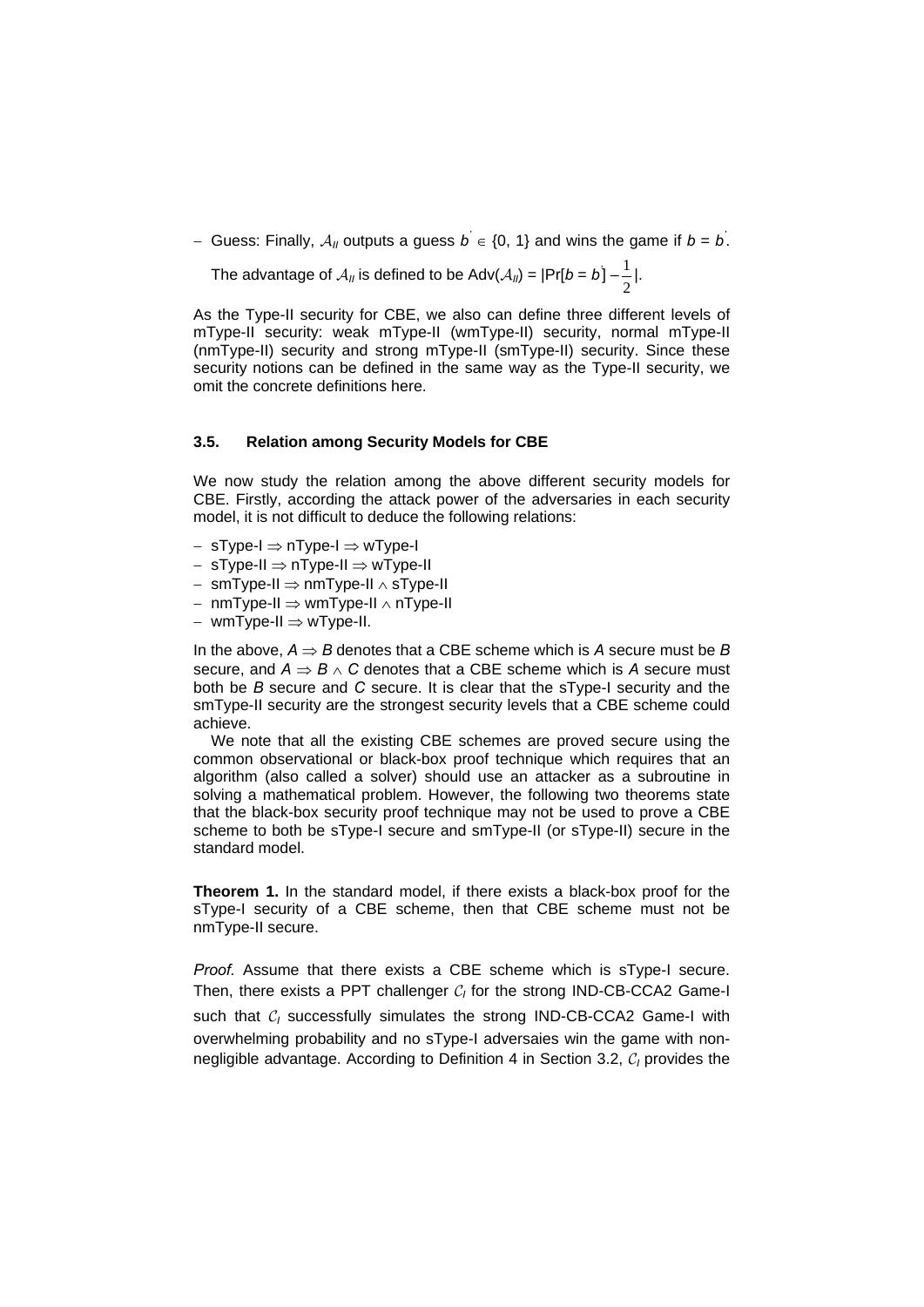− Guess: Finally, A*II* outputs a guess *b'* ∈ {0, 1} and wins the game if *b* = *b'* .

The advantage of  $\mathcal{A}_{II}$  is defined to be Adv( $\mathcal{A}_{II}$ ) =  $|Pr[b = b] - \frac{1}{2}|$ .

As the Type-II security for CBE, we also can define three different levels of mType-II security: weak mType-II (wmType-II) security, normal mType-II (nmType-II) security and strong mType-II (smType-II) security. Since these security notions can be defined in the same way as the Type-II security, we omit the concrete definitions here.

#### **3.5. Relation among Security Models for CBE**

We now study the relation among the above different security models for CBE. Firstly, according the attack power of the adversaries in each security model, it is not difficult to deduce the following relations:

- − sType-I ⇒ nType-I ⇒ wType-I
- − sType-II ⇒ nType-II ⇒ wType-II
- − smType-II ⇒ nmType-II ∧ sType-II
- − nmType-II ⇒ wmType-II ∧ nType-II
- − wmType-II ⇒ wType-II.

In the above,  $A \Rightarrow B$  denotes that a CBE scheme which is A secure must be B secure, and  $A \Rightarrow B \wedge C$  denotes that a CBE scheme which is A secure must both be *B* secure and *C* secure. It is clear that the sType-I security and the smType-II security are the strongest security levels that a CBE scheme could achieve.

We note that all the existing CBE schemes are proved secure using the common observational or black-box proof technique which requires that an algorithm (also called a solver) should use an attacker as a subroutine in solving a mathematical problem. However, the following two theorems state that the black-box security proof technique may not be used to prove a CBE scheme to both be sType-I secure and smType-II (or sType-II) secure in the standard model.

**Theorem 1.** In the standard model, if there exists a black-box proof for the sType-I security of a CBE scheme, then that CBE scheme must not be nmType-II secure.

*Proof.* Assume that there exists a CBE scheme which is sType-I secure. Then, there exists a PPT challenger  $C_I$  for the strong IND-CB-CCA2 Game-I such that  $C_1$  successfully simulates the strong IND-CB-CCA2 Game-I with overwhelming probability and no sType-I adversaies win the game with nonnegligible advantage. According to Definition 4 in Section 3.2, C*I* provides the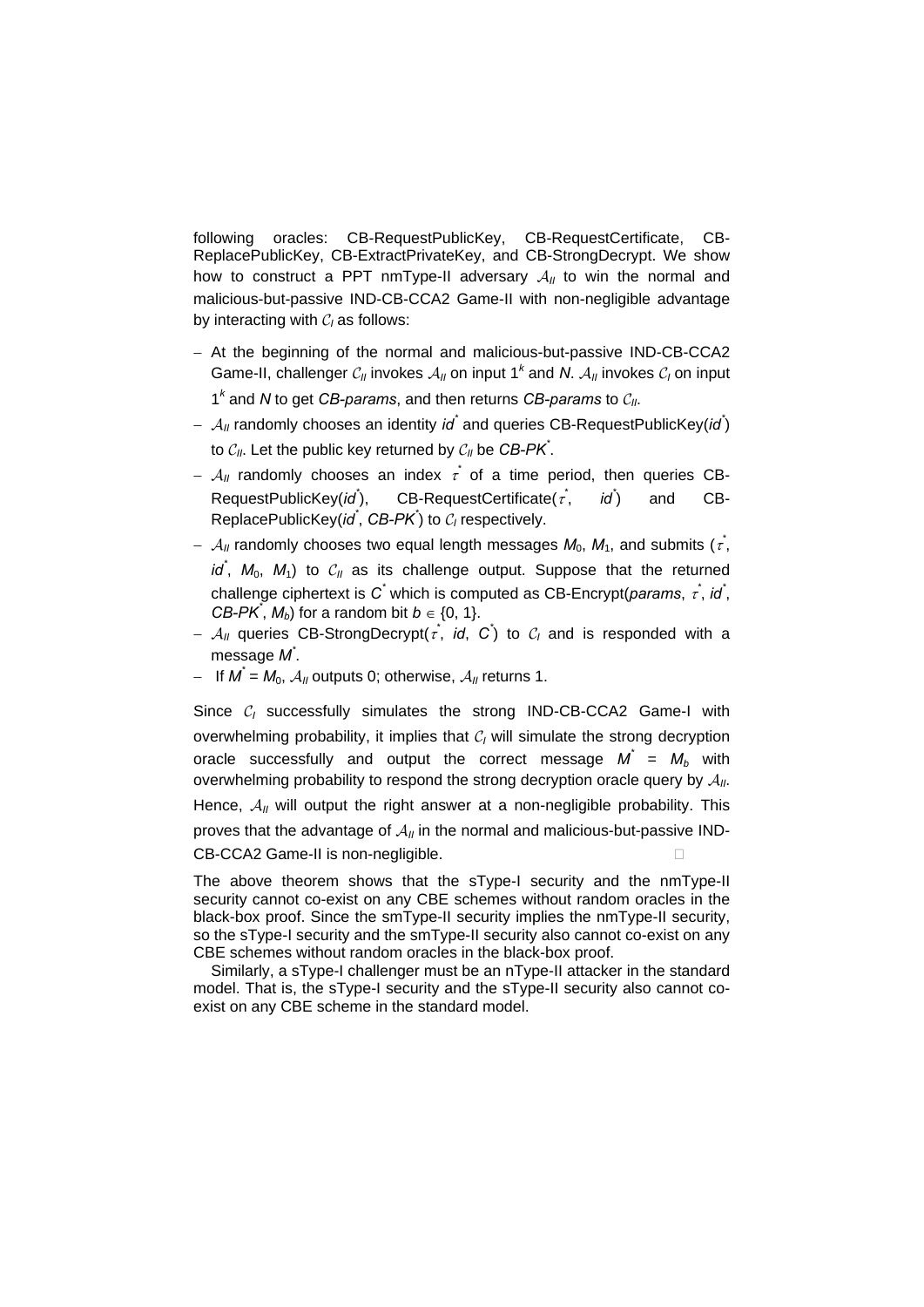following oracles: CB-RequestPublicKey, CB-RequestCertificate, CB-ReplacePublicKey, CB-ExtractPrivateKey, and CB-StrongDecrypt. We show how to construct a PPT nmType-II adversary  $A_{II}$  to win the normal and malicious-but-passive IND-CB-CCA2 Game-II with non-negligible advantage by interacting with C*I* as follows:

- − At the beginning of the normal and malicious-but-passive IND-CB-CCA2 Game-II, challenger  $C_{II}$  invokes  $A_{II}$  on input 1<sup>k</sup> and N.  $A_{II}$  invokes  $C_{I}$  on input 1*k* and *N* to get *CB-params*, and then returns *CB-params* to C*II*.
- $\mathcal{A}_{\parallel}$  randomly chooses an identity *id*<sup>\*</sup> and queries CB-RequestPublicKey(*id*<sup>\*</sup>) to C*II*. Let the public key returned by C*II* be *CB-PK\** .
- − A*II* randomly chooses an index <sup>τ</sup> *\** of a time period, then queries CB-RequestPublicKey(*id\** ), CB-RequestCertificate(<sup>τ</sup> *\** , *id\** ) and CB-ReplacePublicKey(*id\** , *CB-PK\** ) to C*I* respectively.
- − A*II* randomly chooses two equal length messages *M*0, *M*1, and submits (<sup>τ</sup> *\** , *id*<sup>\*</sup>,  $M_0$ ,  $M_1$ ) to  $C_{II}$  as its challenge output. Suppose that the returned challenge ciphertext is C<sup>\*</sup> which is computed as CB-Encrypt(*params, τ<sup>\*</sup>, id<sup>\*</sup>, CB-PK<sup>\*</sup>*,  $M_b$ *for a random bit*  $b \in \{0, 1\}$ *.*
- − A*II* queries CB-StrongDecrypt(<sup>τ</sup> *\** , *id*, *C\** ) to C*I* and is responded with a message *M\** .
- − If *M\** = *M*0, A*II* outputs 0; otherwise, A*II* returns 1.

Since C<sub>I</sub> successfully simulates the strong IND-CB-CCA2 Game-I with overwhelming probability, it implies that  $C<sub>I</sub>$  will simulate the strong decryption oracle successfully and output the correct message  $M^* = M_b$  with overwhelming probability to respond the strong decryption oracle query by A*II*. Hence,  $A_{II}$  will output the right answer at a non-negligible probability. This proves that the advantage of  $A_{II}$  in the normal and malicious-but-passive IND-CB-CCA2 Game-II is non-negligible.

The above theorem shows that the sType-I security and the nmType-II security cannot co-exist on any CBE schemes without random oracles in the black-box proof. Since the smType-II security implies the nmType-II security, so the sType-I security and the smType-II security also cannot co-exist on any CBE schemes without random oracles in the black-box proof.

Similarly, a sType-I challenger must be an nType-II attacker in the standard model. That is, the sType-I security and the sType-II security also cannot coexist on any CBE scheme in the standard model.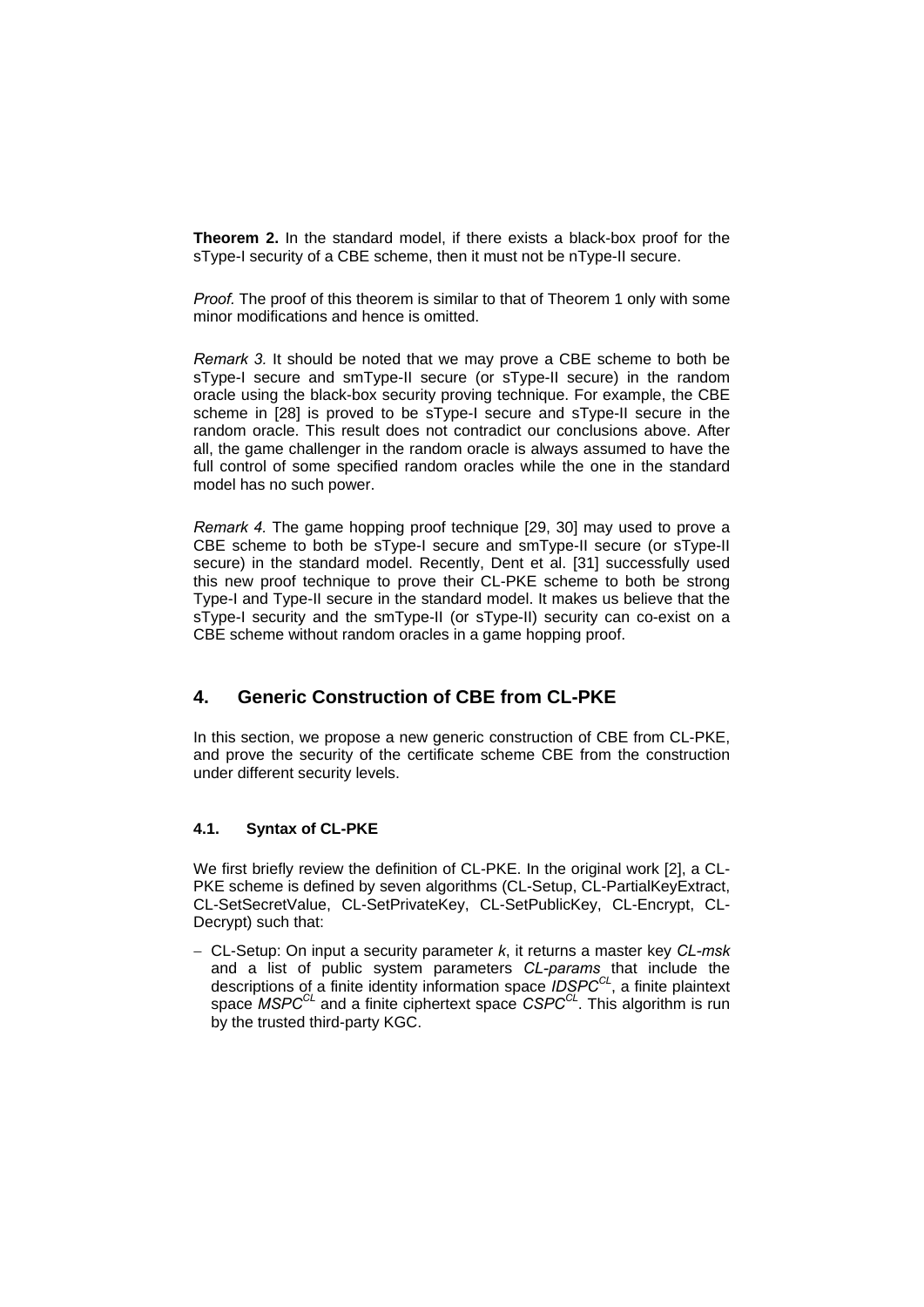**Theorem 2.** In the standard model, if there exists a black-box proof for the sType-I security of a CBE scheme, then it must not be nType-II secure.

*Proof.* The proof of this theorem is similar to that of Theorem 1 only with some minor modifications and hence is omitted.

*Remark 3.* It should be noted that we may prove a CBE scheme to both be sType-I secure and smType-II secure (or sType-II secure) in the random oracle using the black-box security proving technique. For example, the CBE scheme in [28] is proved to be sType-I secure and sType-II secure in the random oracle. This result does not contradict our conclusions above. After all, the game challenger in the random oracle is always assumed to have the full control of some specified random oracles while the one in the standard model has no such power.

*Remark 4.* The game hopping proof technique [29, 30] may used to prove a CBE scheme to both be sType-I secure and smType-II secure (or sType-II secure) in the standard model. Recently, Dent et al. [31] successfully used this new proof technique to prove their CL-PKE scheme to both be strong Type-I and Type-II secure in the standard model. It makes us believe that the sType-I security and the smType-II (or sType-II) security can co-exist on a CBE scheme without random oracles in a game hopping proof.

# **4. Generic Construction of CBE from CL-PKE**

In this section, we propose a new generic construction of CBE from CL-PKE, and prove the security of the certificate scheme CBE from the construction under different security levels.

### **4.1. Syntax of CL-PKE**

We first briefly review the definition of CL-PKE. In the original work [2], a CL-PKE scheme is defined by seven algorithms (CL-Setup, CL-PartialKeyExtract, CL-SetSecretValue, CL-SetPrivateKey, CL-SetPublicKey, CL-Encrypt, CL-Decrypt) such that:

− CL-Setup: On input a security parameter *k*, it returns a master key *CL-msk* and a list of public system parameters *CL-params* that include the descriptions of a finite identity information space *IDSPCCL*, a finite plaintext space *MSPCCL* and a finite ciphertext space *CSPCCL*. This algorithm is run by the trusted third-party KGC.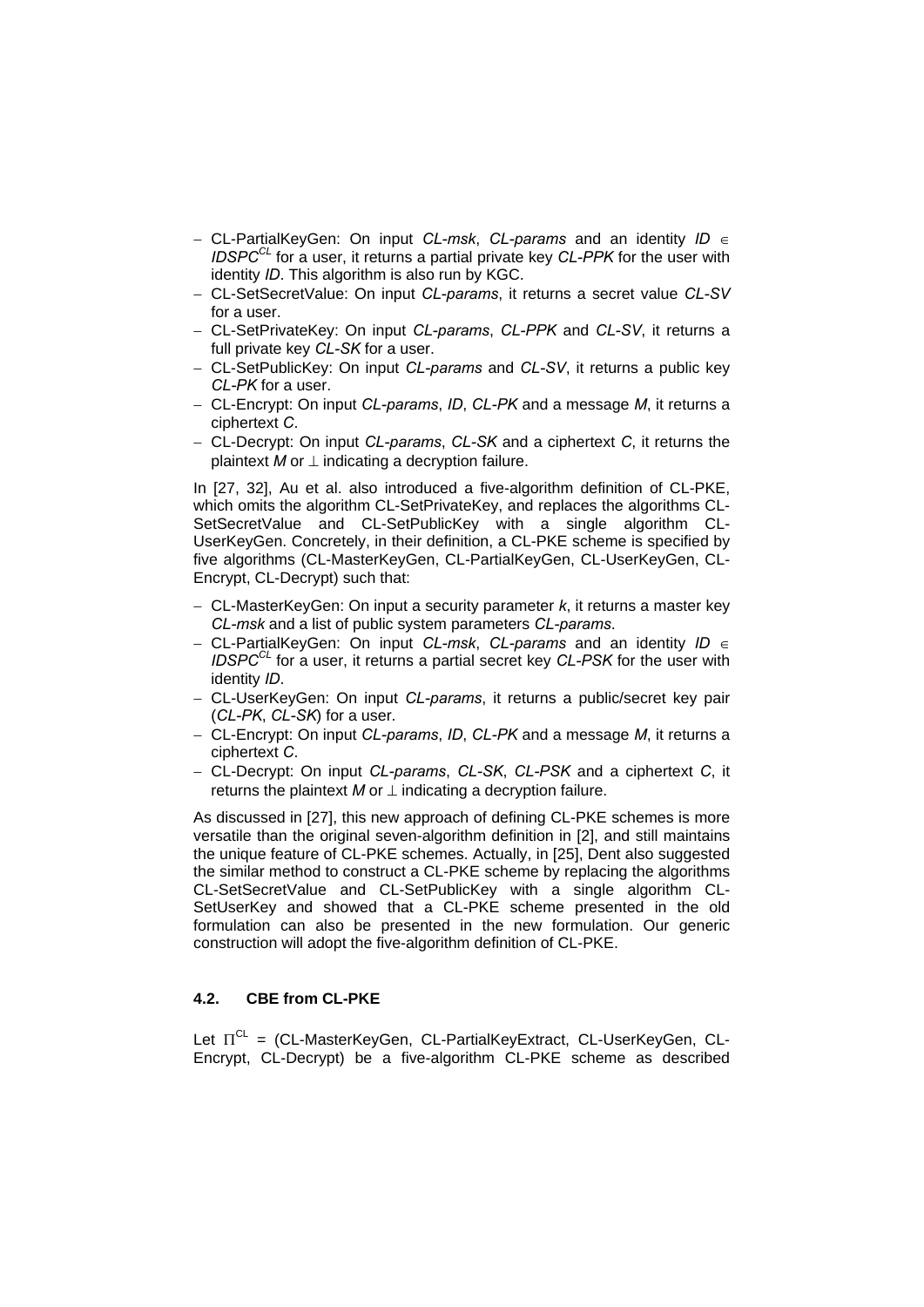- − CL-PartialKeyGen: On input *CL-msk*, *CL-params* and an identity *ID* ∈ *IDSPCCL* for a user, it returns a partial private key *CL-PPK* for the user with identity *ID*. This algorithm is also run by KGC.
- − CL-SetSecretValue: On input *CL-params*, it returns a secret value *CL-SV* for a user.
- − CL-SetPrivateKey: On input *CL-params*, *CL-PPK* and *CL-SV*, it returns a full private key *CL-SK* for a user.
- − CL-SetPublicKey: On input *CL-params* and *CL-SV*, it returns a public key *CL-PK* for a user.
- − CL-Encrypt: On input *CL-params*, *ID*, *CL-PK* and a message *M*, it returns a ciphertext *C*.
- − CL-Decrypt: On input *CL-params*, *CL-SK* and a ciphertext *C*, it returns the plaintext *M* or  $\perp$  indicating a decryption failure.

In [27, 32], Au et al. also introduced a five-algorithm definition of CL-PKE, which omits the algorithm CL-SetPrivateKey, and replaces the algorithms CL-SetSecretValue and CL-SetPublicKey with a single algorithm CL-UserKeyGen. Concretely, in their definition, a CL-PKE scheme is specified by five algorithms (CL-MasterKeyGen, CL-PartialKeyGen, CL-UserKeyGen, CL-Encrypt, CL-Decrypt) such that:

- − CL-MasterKeyGen: On input a security parameter *k*, it returns a master key *CL-msk* and a list of public system parameters *CL-params*.
- − CL-PartialKeyGen: On input *CL-msk*, *CL-params* and an identity *ID* ∈ *IDSPCCL* for a user, it returns a partial secret key *CL-PSK* for the user with identity *ID*.
- − CL-UserKeyGen: On input *CL-params*, it returns a public/secret key pair (*CL-PK*, *CL-SK*) for a user.
- − CL-Encrypt: On input *CL-params*, *ID*, *CL-PK* and a message *M*, it returns a ciphertext *C*.
- − CL-Decrypt: On input *CL-params*, *CL-SK*, *CL-PSK* and a ciphertext *C*, it returns the plaintext *M* or ⊥ indicating a decryption failure.

As discussed in [27], this new approach of defining CL-PKE schemes is more versatile than the original seven-algorithm definition in [2], and still maintains the unique feature of CL-PKE schemes. Actually, in [25], Dent also suggested the similar method to construct a CL-PKE scheme by replacing the algorithms CL-SetSecretValue and CL-SetPublicKey with a single algorithm CL-SetUserKey and showed that a CL-PKE scheme presented in the old formulation can also be presented in the new formulation. Our generic construction will adopt the five-algorithm definition of CL-PKE.

### **4.2. CBE from CL-PKE**

Let  $\Pi^{CL}$  = (CL-MasterKeyGen, CL-PartialKeyExtract, CL-UserKeyGen, CL-Encrypt, CL-Decrypt) be a five-algorithm CL-PKE scheme as described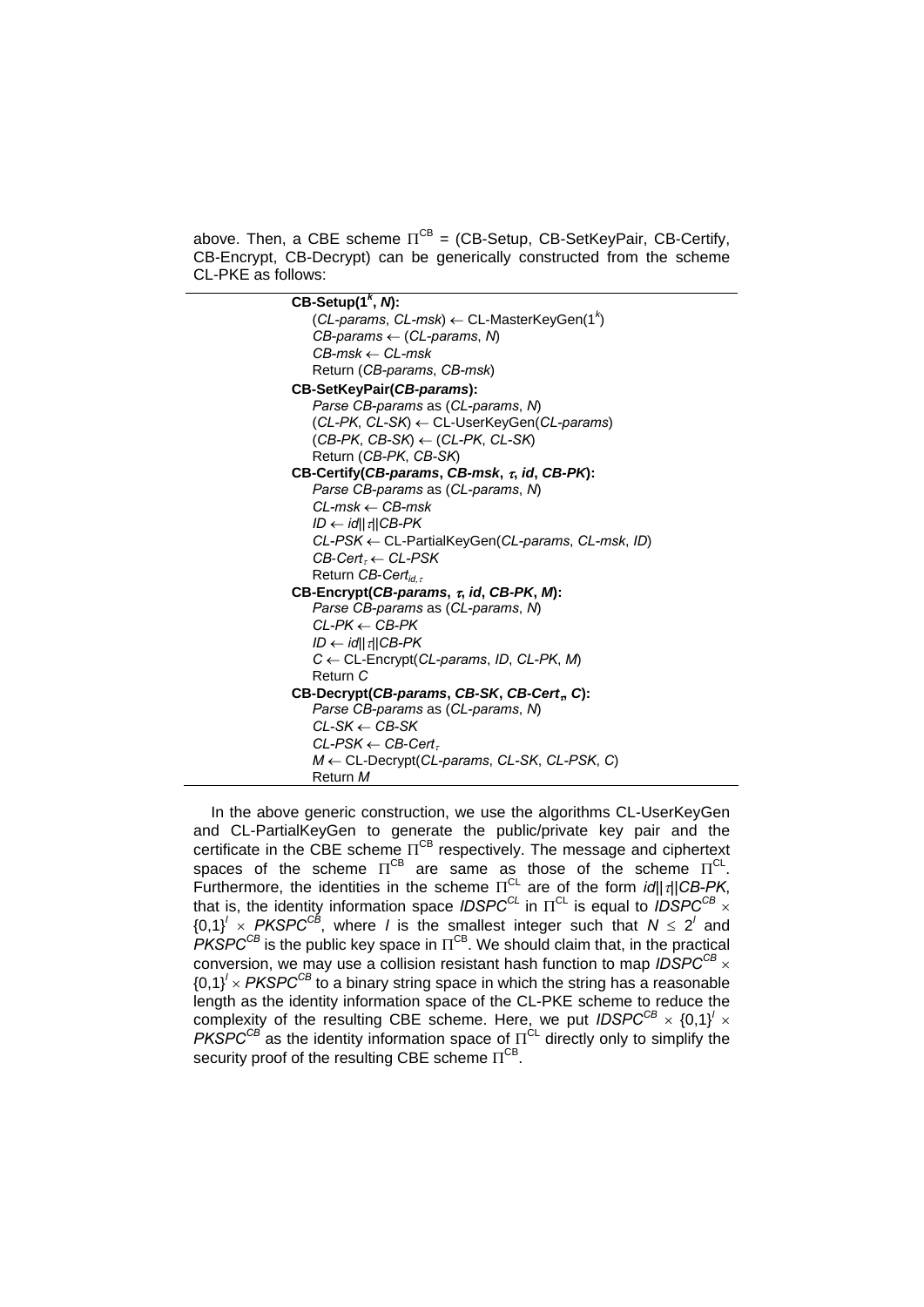above. Then, a CBE scheme  $\Pi^{CB} = (CB\text{-}Setup, CB\text{-}SetKeyPair, CB\text{-}Verify,$ CB-Encrypt, CB-Decrypt) can be generically constructed from the scheme CL-PKE as follows:

**CB-Setup(1***<sup>k</sup>* **,** *N***):** (*CL-params*, *CL-msk*) ← CL-MasterKeyGen(1*<sup>k</sup>* ) *CB-params* ← (*CL-params*, *N*) *CB-msk* ← *CL-msk* Return (*CB-params*, *CB-msk*) **CB-SetKeyPair(***CB-params***):** *Parse CB-params* as (*CL-params*, *N*) (*CL-PK*, *CL-SK*) ← CL-UserKeyGen(*CL-params*) (*CB-PK*, *CB-SK*) ← (*CL-PK*, *CL-SK*) Return (*CB-PK*, *CB-SK*) **CB-Certify(***CB-params***,** *CB-msk***,** τ**,** *id***,** *CB-PK***):** *Parse CB-params* as (*CL-params*, *N*) *CL-msk* ← *CB-msk ID* ← *id*||τ||*CB-PK CL-PSK* ← CL-PartialKeyGen(*CL-params*, *CL-msk*, *ID*) *CB*-*Cert*<sup>τ</sup> ← *CL-PSK*  **Return CB-Cert<sub>id</sub>**τ **CB-Encrypt(***CB-params***,** τ**,** *id***,** *CB-PK***,** *M***):** *Parse CB-params* as (*CL-params*, *N*) *CL-PK* ← *CB-PK ID* ← *id*||τ||*CB-PK C* ← CL-Encrypt(*CL-params*, *ID*, *CL-PK*, *M*) Return *C* **CB-Decrypt(***CB-params***,** *CB-SK***,** *CB***-***Cert*τ**,** *C***):** *Parse CB-params* as (*CL-params*, *N*) *CL-SK* ← *CB-SK*  $CL-PSK \leftarrow CB\text{-}Cert_t$ *M* ← CL-Decrypt(*CL-params*, *CL-SK*, *CL-PSK*, *C*) Return *M*

In the above generic construction, we use the algorithms CL-UserKeyGen and CL-PartialKeyGen to generate the public/private key pair and the certificate in the CBE scheme  $\Pi^{CB}$  respectively. The message and ciphertext spaces of the scheme  $\Pi^{CB}$  are same as those of the scheme  $\Pi^{CL}$ . Furthermore, the identities in the scheme ΠCL are of the form *id*||τ||*CB-PK*, that is, the identity information space  $IDSPC^{CL}$  in  $\Pi^{CL}$  is equal to  $IDSPC^{CB} \times$  ${0,1}^{\prime}$  × PKSPC<sup>CB</sup>, where *l* is the smallest integer such that  $N \leq 2^{l}$  and  $PKSPC<sup>CB</sup>$  is the public key space in  $\Pi<sup>CB</sup>$ . We should claim that, in the practical conversion, we may use a collision resistant hash function to map *IDSPCCB* ×  ${0,1}^{\prime}$  × PKSPC<sup>CB</sup> to a binary string space in which the string has a reasonable length as the identity information space of the CL-PKE scheme to reduce the complexity of the resulting CBE scheme. Here, we put  $IDSPC^{CB} \times \{0,1\}^l \times$ *PKSPC<sup>CB</sup>* as the identity information space of  $\Pi^{CL}$  directly only to simplify the security proof of the resulting CBE scheme  $\Pi^{\text{CB}}$ .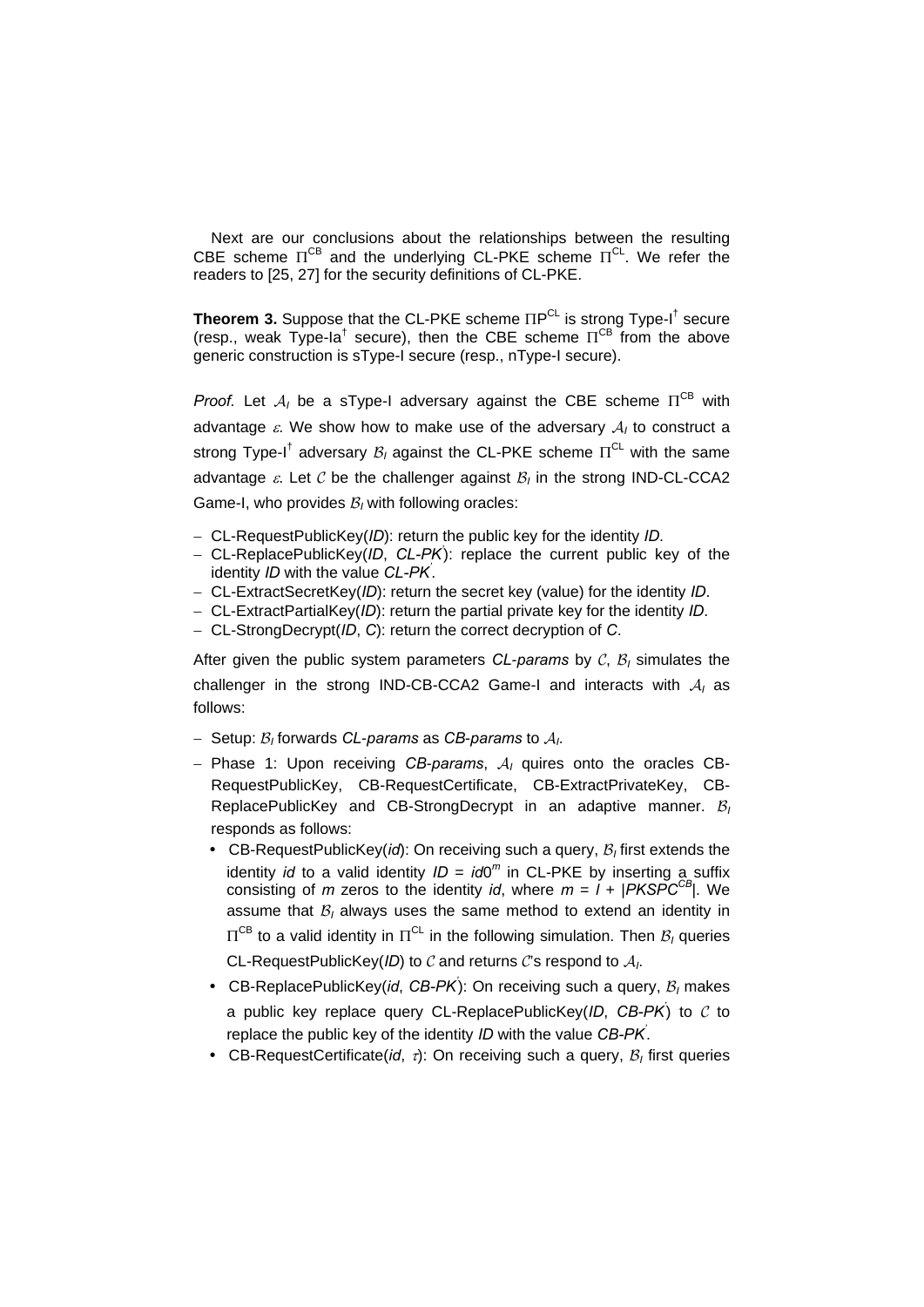Next are our conclusions about the relationships between the resulting CBE scheme  $\Pi^{CB}$  and the underlying CL-PKE scheme  $\Pi^{CL}$ . We refer the readers to [25, 27] for the security definitions of CL-PKE.

**Theorem 3.** Suppose that the CL-PKE scheme  $\Pi$ P<sup>CL</sup> is strong Type-I<sup>†</sup> secure (resp., weak Type-la<sup>†</sup> secure), then the CBE scheme  $\Pi^{CB}$  from the above generic construction is sType-I secure (resp., nType-I secure).

*Proof.* Let  $A_i$  be a sType-I adversary against the CBE scheme  $\Pi^{CB}$  with advantage ε. We show how to make use of the adversary A*I* to construct a strong Type-I<sup>†</sup> adversary  $\mathcal{B}_I$  against the CL-PKE scheme  $\Pi^{\mathsf{CL}}$  with the same advantage  $\varepsilon$ . Let  $\mathcal C$  be the challenger against  $\mathcal B_I$  in the strong IND-CL-CCA2 Game-I, who provides  $B<sub>I</sub>$  with following oracles:

- − CL-RequestPublicKey(*ID*): return the public key for the identity *ID*.
- − CL-ReplacePublicKey(*ID*, *CL-PK'* ): replace the current public key of the identity *ID* with the value *CL-PK'* .
- − CL-ExtractSecretKey(*ID*): return the secret key (value) for the identity *ID*.
- − CL-ExtractPartialKey(*ID*): return the partial private key for the identity *ID*.
- − CL-StrongDecrypt(*ID*, *C*): return the correct decryption of *C*.

After given the public system parameters *CL*-*params* by C, B*I* simulates the challenger in the strong IND-CB-CCA2 Game-I and interacts with A*I* as follows:

- − Setup: B*I* forwards *CL*-*params* as *CB*-*params* to A*I*.
- − Phase 1: Upon receiving *CB*-*params*, A*I* quires onto the oracles CB-RequestPublicKey, CB-RequestCertificate, CB-ExtractPrivateKey, CB-ReplacePublicKey and CB-StrongDecrypt in an adaptive manner. B*<sup>I</sup>* responds as follows:
	- CB-RequestPublicKey(*id*): On receiving such a query,  $\mathcal{B}_I$  first extends the identity *id* to a valid identity  $ID = id0^m$  in CL-PKE by inserting a suffix consisting of *m* zeros to the identity *id*, where  $m = I + |PKSPC^{CB}|$ . We assume that  $B<sub>l</sub>$  always uses the same method to extend an identity in  $\Pi^{\text{CB}}$  to a valid identity in  $\Pi^{\text{CL}}$  in the following simulation. Then  $\mathcal{B}_I$  queries CL-RequestPublicKey(*ID*) to C and returns C's respond to A*I*.
	- CB-ReplacePublicKey(*id*, CB-PK<sup>'</sup>): On receiving such a query,  $B<sub>1</sub>$  makes a public key replace query CL-ReplacePublicKey(*ID*, *CB-PK'* ) to C to replace the public key of the identity *ID* with the value *CB-PK'* .
	- CB-RequestCertificate(*id*,  $\tau$ ): On receiving such a query,  $\beta$ <sub>*I*</sub> first queries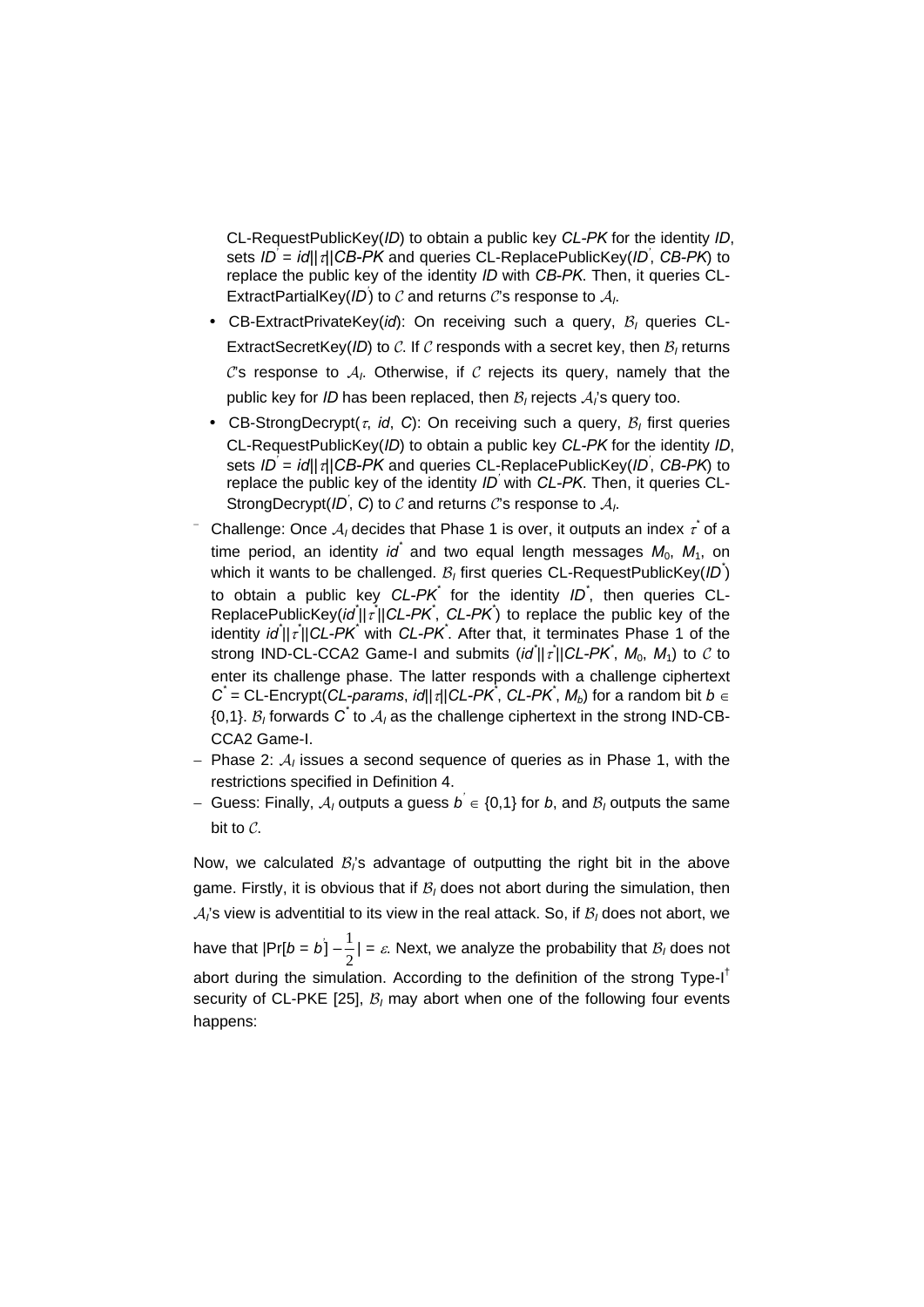CL-RequestPublicKey(*ID*) to obtain a public key *CL-PK* for the identity *ID*, sets *ID'* = *id*||τ||*CB-PK* and queries CL-ReplacePublicKey(*ID'* , *CB-PK*) to replace the public key of the identity *ID* with *CB-PK*. Then, it queries CL-ExtractPartialKey( $ID$ <sup>'</sup>) to  $C$  and returns  $C$ 's response to  $A$ <sup> $\mu$ </sup>.

- CB-ExtractPrivateKey(*id*): On receiving such a query,  $\beta$ <sub>*I*</sub> queries CL-ExtractSecretKey(*ID*) to C. If C responds with a secret key, then  $B<sub>I</sub>$  returns  $\mathcal C$ 's response to  $\mathcal A_I$ . Otherwise, if  $\mathcal C$  rejects its query, namely that the public key for *ID* has been replaced, then  $\mathcal{B}_I$  rejects  $\mathcal{A}_I$ 's query too.
- CB-StrongDecrypt( $\tau$ , *id*, C): On receiving such a query,  $\beta$ <sub>*I*</sub> first queries CL-RequestPublicKey(*ID*) to obtain a public key *CL-PK* for the identity *ID*, sets *ID'* = *id*||τ||*CB-PK* and queries CL-ReplacePublicKey(*ID'* , *CB-PK*) to replace the public key of the identity *ID'* with *CL-PK*. Then, it queries CL-StrongDecrypt(ID<sup>'</sup>, C) to C and returns C's response to  $A_I$ .
- − Challenge: Once  $A_I$  decides that Phase 1 is over, it outputs an index  $\vec{r}$  of a time period, an identity *id*<sup>\*</sup> and two equal length messages  $M_0$ ,  $M_1$ , on which it wants to be challenged. B<sub>I</sub> first queries CL-RequestPublicKey(ID<sup>\*</sup>) to obtain a public key *CL-PK\** for the identity *ID\** , then queries CL-ReplacePublicKey(*id*<sup>\*</sup>||<sup>†</sup>||CL-PK<sup>\*</sup>, CL-PK<sup>\*</sup>) to replace the public key of the identity *id*<sup>\*</sup>||*τ*<sup>\*</sup>||*CL-PK*<sup>\*</sup> with *CL-PK*<sup>\*</sup>. After that, it terminates Phase 1 of the strong IND-CL-CCA2 Game-I and submits (*id*<sup>\*</sup>||*τ*<sup>\*</sup>||CL-PK<sup>\*</sup>, M<sub>0</sub>, M<sub>1</sub>) to *C* to enter its challenge phase. The latter responds with a challenge ciphertext *C*<sup>\*</sup> = CL-Encrypt(*CL-params, id*||τ||*CL-PK<sup>\*</sup>, CL-PK<sup>\*</sup>, M<sub>b</sub>) for a random bit <i>b* ∈  $\{0,1\}$ .  $\mathcal{B}_I$  forwards  $C^*$  to  $\mathcal{A}_I$  as the challenge ciphertext in the strong IND-CB-CCA2 Game-I.
- − Phase 2: A*I* issues a second sequence of queries as in Phase 1, with the restrictions specified in Definition 4.
- − Guess: Finally, A*I* outputs a guess *b'* ∈ {0,1} for *b*, and B*I* outputs the same bit to  $C$ .

Now, we calculated  $\mathcal{B}_i$ 's advantage of outputting the right bit in the above game. Firstly, it is obvious that if  $B<sub>I</sub>$  does not abort during the simulation, then  $A_i$ 's view is adventitial to its view in the real attack. So, if  $B_i$  does not abort, we have that  $|Pr[b = b] - \frac{1}{2}| = \varepsilon$ . Next, we analyze the probability that  $B_l$  does not abort during the simulation. According to the definition of the strong  $Type-I^{\dagger}$ security of CL-PKE [25],  $B<sub>I</sub>$  may abort when one of the following four events happens: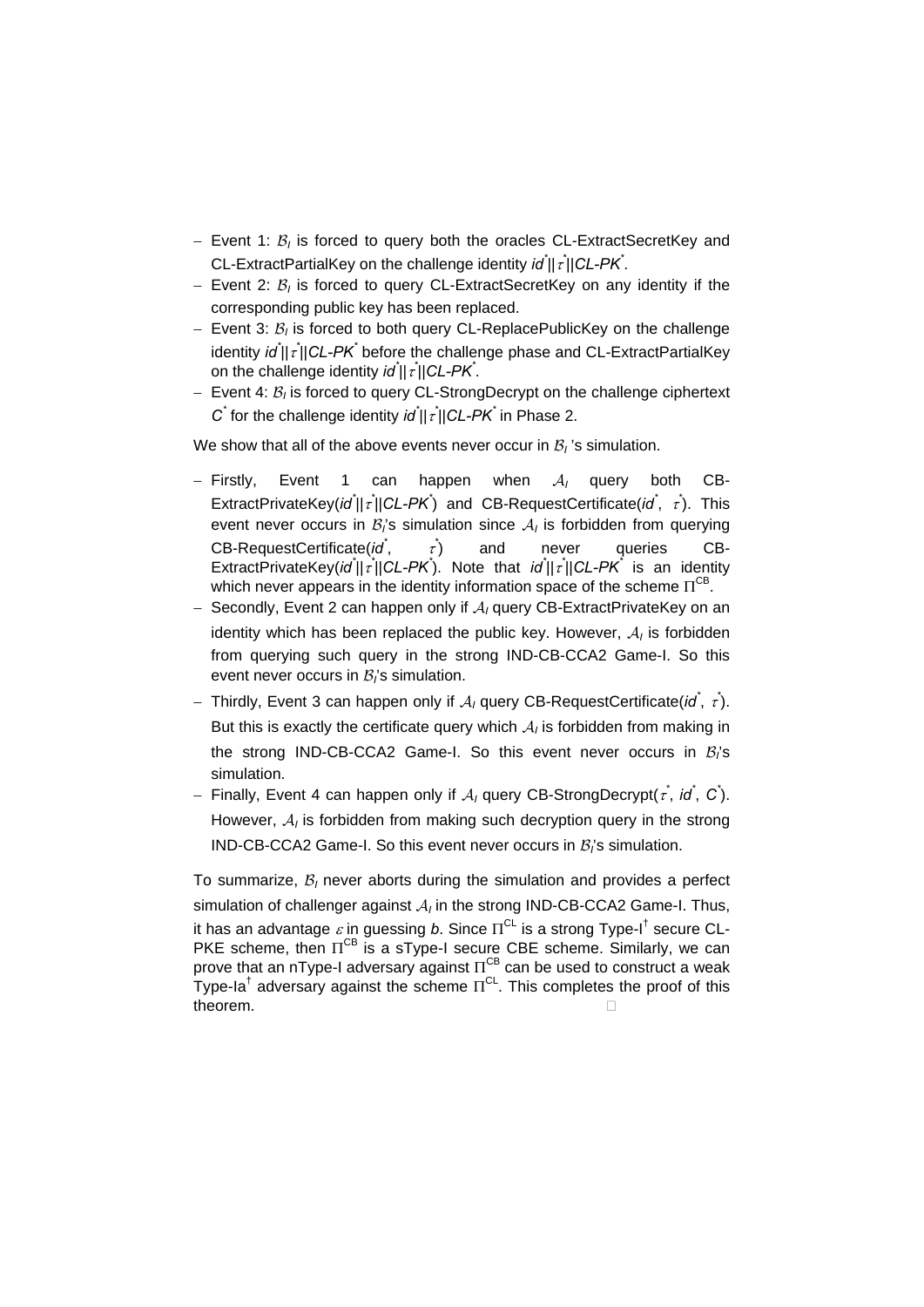- − Event 1: B*I* is forced to query both the oracles CL-ExtractSecretKey and CL-ExtractPartialKey on the challenge identity *id*<sup>\*</sup>||*τ*<sup>\*</sup>||*CL-PK*<sup>\*</sup>.
- − Event 2: B*I* is forced to query CL-ExtractSecretKey on any identity if the corresponding public key has been replaced.
- − Event 3: B*I* is forced to both query CL-ReplacePublicKey on the challenge identity *id*<sup>\*</sup>||*τ*<sup>\*</sup>||*CL-PK*<sup>\*</sup> before the challenge phase and CL-ExtractPartialKey on the challenge identity *id*<sup>\*</sup>||τ<sup>*\**</sup>||CL-PK<sup>\*</sup>.
- − Event 4: B*I* is forced to query CL-StrongDecrypt on the challenge ciphertext *C*<sup>\*</sup> for the challenge identity *id*<sup>\*</sup>||*τ*<sup>\*</sup>||*CL-PK*<sup>\*</sup> in Phase 2.

We show that all of the above events never occur in  $B_I$ 's simulation.

- − Firstly, Event 1 can happen when A*I* query both CB-ExtractPrivateKey(*id<sup>\*</sup>*||*τ<sup>\*</sup>*||CL-PK<sup>\*</sup>) and CB-RequestCertificate(*id<sup>\*</sup>, τ<sup>\*</sup>)*. This event never occurs in  $\mathcal{B}_i$ 's simulation since  $\mathcal{A}_i$  is forbidden from querying CB-RequestCertificate(*id*<sup>\*</sup>, τ *\** ) and never queries CB-ExtractPrivateKey(*id\** ||<sup>τ</sup> *\** ||*CL-PK\** ). Note that *id\** ||<sup>τ</sup> *\** ||*CL-PK\** is an identity which never appears in the identity information space of the scheme  $\Pi^{CB}$ .
- Secondly, Event 2 can happen only if A<sub>I</sub> query CB-ExtractPrivateKey on an identity which has been replaced the public key. However,  $A<sub>I</sub>$  is forbidden from querying such query in the strong IND-CB-CCA2 Game-I. So this event never occurs in B*I*'s simulation.
- − Thirdly, Event 3 can happen only if A*I* query CB-RequestCertificate(*id\** , <sup>τ</sup> *\** ). But this is exactly the certificate query which  $A<sub>l</sub>$  is forbidden from making in the strong IND-CB-CCA2 Game-I. So this event never occurs in  $B_i$ 's simulation.
- − Finally, Event 4 can happen only if A*I* query CB-StrongDecrypt(<sup>τ</sup> *\** , *id\** , *C\** ). However,  $A<sub>I</sub>$  is forbidden from making such decryption query in the strong IND-CB-CCA2 Game-I. So this event never occurs in B*I*'s simulation.

To summarize,  $\mathcal{B}_l$  never aborts during the simulation and provides a perfect simulation of challenger against  $A<sub>l</sub>$  in the strong IND-CB-CCA2 Game-I. Thus, it has an advantage  $\varepsilon$  in guessing  $b.$  Since  $\Pi^\mathsf{CL}$  is a strong Type-I<sup>†</sup> secure CL-PKE scheme, then  $\Pi^{CB}$  is a sType-I secure CBE scheme. Similarly, we can prove that an nType-I adversary against  $\Pi^\texttt{CB}$  can be used to construct a weak Type-Ia<sup>†</sup> adversary against the scheme  $\Pi^{\mathsf{CL}}$ . This completes the proof of this theorem.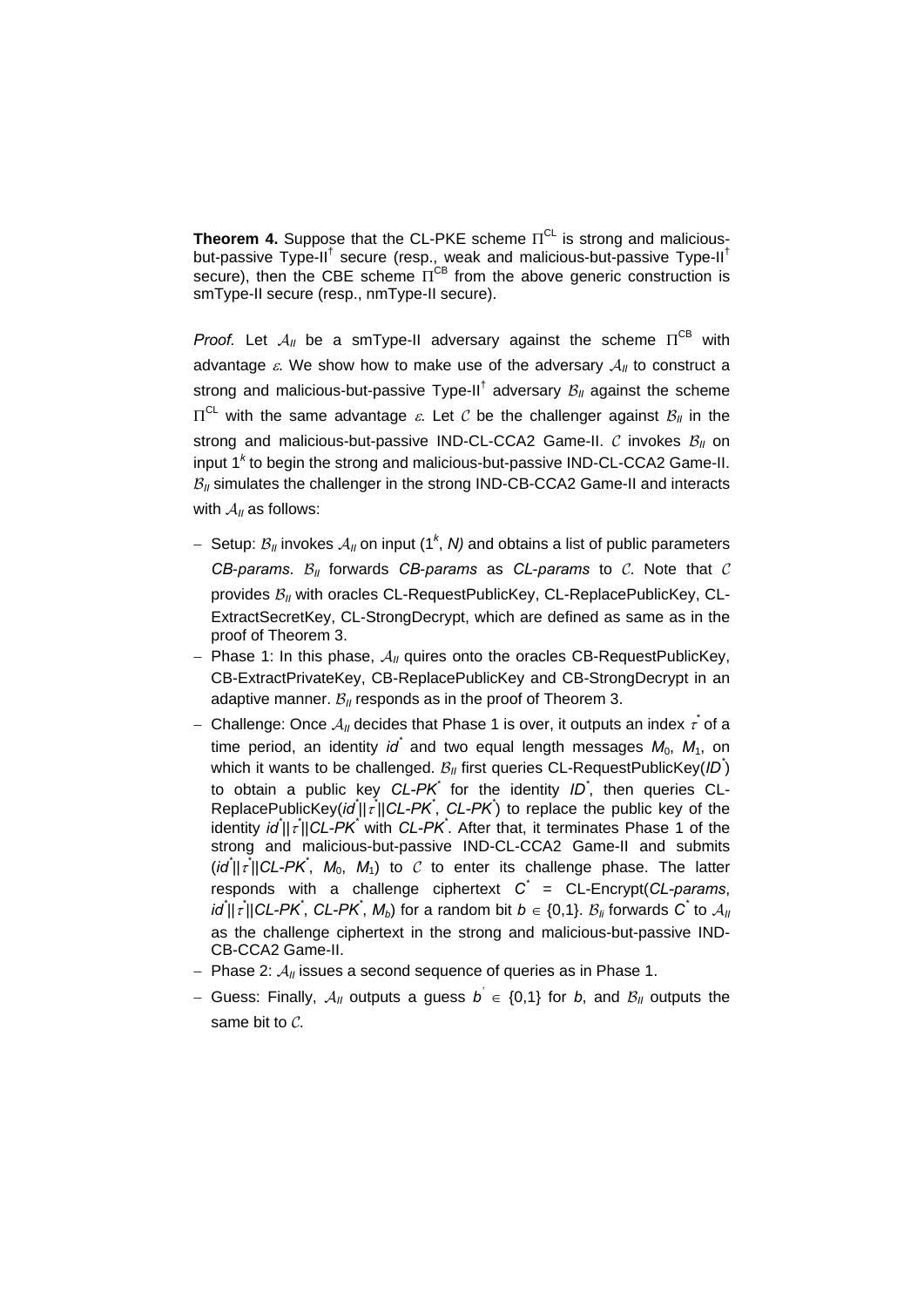**Theorem 4.** Suppose that the CL-PKE scheme  $\Pi^{CL}$  is strong and maliciousbut-passive Type-II<sup>†</sup> secure (resp., weak and malicious-but-passive Type-II<sup>†</sup> secure), then the CBE scheme  $\Pi^{CB}$  from the above generic construction is smType-II secure (resp., nmType-II secure).

*Proof.* Let  $A_{II}$  be a smType-II adversary against the scheme  $\Pi^{CB}$  with advantage  $\varepsilon$ . We show how to make use of the adversary  $A_{II}$  to construct a strong and malicious-but-passive Type-II<sup>†</sup> adversary  $B_{II}$  against the scheme  $\Pi^{\text{CL}}$  with the same advantage  $\varepsilon$ . Let  $\mathcal C$  be the challenger against  $\mathcal B_{II}$  in the strong and malicious-but-passive IND-CL-CCA2 Game-II. C invokes  $B_{II}$  on input 1*<sup>k</sup>* to begin the strong and malicious-but-passive IND-CL-CCA2 Game-II.  $B<sub>II</sub>$  simulates the challenger in the strong IND-CB-CCA2 Game-II and interacts with  $A_{II}$  as follows:

- − Setup: B*II* invokes A*II* on input (1*<sup>k</sup>* , *N)* and obtains a list of public parameters *CB-params.*  $B_{II}$  forwards *CB-params* as *CL-params* to  $C$ . Note that  $C$ provides  $B_{II}$  with oracles CL-RequestPublicKey, CL-ReplacePublicKey, CL-ExtractSecretKey, CL-StrongDecrypt, which are defined as same as in the proof of Theorem 3.
- Phase 1: In this phase, A<sub>*II*</sub> quires onto the oracles CB-RequestPublicKey, CB-ExtractPrivateKey, CB-ReplacePublicKey and CB-StrongDecrypt in an adaptive manner.  $B_{II}$  responds as in the proof of Theorem 3.
- − Challenge: Once A*II* decides that Phase 1 is over, it outputs an index <sup>τ</sup> *\** of a time period, an identity *id*<sup>\*</sup> and two equal length messages  $M_0$ ,  $M_1$ , on which it wants to be challenged.  $B_{II}$  first queries CL-RequestPublicKey(ID<sup>\*</sup>) to obtain a public key *CL-PK\** for the identity *ID\** , then queries CL-ReplacePublicKey(*id*<sup>\*</sup>||<sup>†</sup>||CL-PK<sup>\*</sup>, CL-PK<sup>\*</sup>) to replace the public key of the identity *id*<sup>\*</sup>||*τ*<sup>\*</sup>||*CL-PK*<sup>\*</sup> with *CL-PK*<sup>\*</sup>. After that, it terminates Phase 1 of the strong and malicious-but-passive IND-CL-CCA2 Game-II and submits  $(|d^{\dagger}||\tau)|CL-PK^{\dagger}$ ,  $M_0$ ,  $M_1$ ) to  $C$  to enter its challenge phase. The latter responds with a challenge ciphertext *C\** = CL-Encrypt(*CL-params*,  $\int$ *id*<sup>\*</sup>||*CL-PK*<sup>\*</sup>, *CL-PK*<sup>\*</sup>,  $M_b$ ) for a random bit  $b \in \{0,1\}$ .  $B_{li}$  forwards  $C^*$  to  $A_{li}$ as the challenge ciphertext in the strong and malicious-but-passive IND-CB-CCA2 Game-II.
- − Phase 2: A*II* issues a second sequence of queries as in Phase 1.
- − Guess: Finally, A*II* outputs a guess *b'* ∈ {0,1} for *b*, and B*II* outputs the same bit to  $\mathcal{C}$ .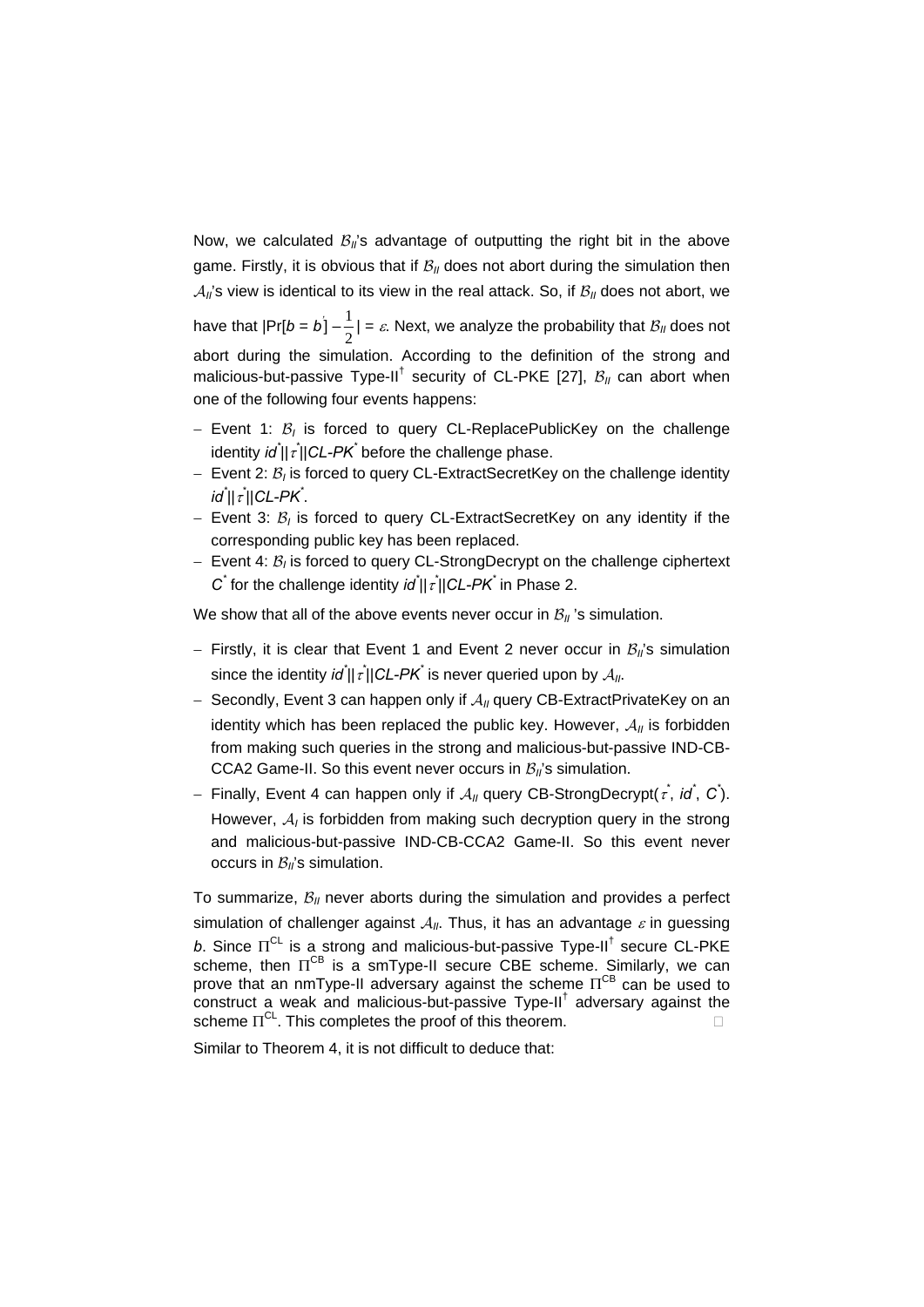Now, we calculated  $\mathcal{B}_{II}$ 's advantage of outputting the right bit in the above game. Firstly, it is obvious that if  $B<sub>II</sub>$  does not abort during the simulation then  $A_{II}$ 's view is identical to its view in the real attack. So, if  $B_{II}$  does not abort, we have that  $|Pr[b = b] - \frac{1}{2}| = \varepsilon$ . Next, we analyze the probability that  $B_{II}$  does not abort during the simulation. According to the definition of the strong and malicious-but-passive Type-II<sup>†</sup> security of CL-PKE [27],  $\mathcal{B}_{II}$  can abort when one of the following four events happens:

- − Event 1: B*I* is forced to query CL-ReplacePublicKey on the challenge identity *id*<sup>\*</sup>||*cL-PK*<sup>\*</sup> before the challenge phase.
- − Event 2: B*I* is forced to query CL-ExtractSecretKey on the challenge identity *id<sup>\*</sup>||τ<sup>\*</sup>||CL-PK<sup>\*</sup>.*
- − Event 3: B*I* is forced to query CL-ExtractSecretKey on any identity if the corresponding public key has been replaced.
- − Event 4: B*I* is forced to query CL-StrongDecrypt on the challenge ciphertext *C*<sup>\*</sup> for the challenge identity *id*<sup>\*</sup>||*τ*<sup>\*</sup>||*CL-PK*<sup>\*</sup> in Phase 2.

We show that all of the above events never occur in  $B_{II}$ 's simulation.

- − Firstly, it is clear that Event 1 and Event 2 never occur in B*II*'s simulation since the identity  $id^{\dagger} || \vec{r} || CL$ - $PK^{\dagger}$  is never queried upon by  $\mathcal{A}_{ll}$ .
- − Secondly, Event 3 can happen only if A*II* query CB-ExtractPrivateKey on an identity which has been replaced the public key. However,  $A_{II}$  is forbidden from making such queries in the strong and malicious-but-passive IND-CB-CCA2 Game-II. So this event never occurs in B*II*'s simulation.
- − Finally, Event 4 can happen only if A*II* query CB-StrongDecrypt(<sup>τ</sup> *\** , *id\** , *C\** ). However,  $A<sub>l</sub>$  is forbidden from making such decryption query in the strong and malicious-but-passive IND-CB-CCA2 Game-II. So this event never occurs in  $B_{II}$ 's simulation.

To summarize,  $B_{II}$  never aborts during the simulation and provides a perfect simulation of challenger against  $A_{II}$ . Thus, it has an advantage  $\varepsilon$  in guessing b. Since  $\Pi^{\mathsf{CL}}$  is a strong and malicious-but-passive Type-II<sup>†</sup> secure CL-PKE scheme, then  $\Pi^{CB}$  is a smType-II secure CBE scheme. Similarly, we can prove that an nmType-II adversary against the scheme  $\Pi^{CB}$  can be used to construct a weak and malicious-but-passive Type-II<sup>†</sup> adversary against the scheme  $\Pi^{\mathsf{CL}}$ . This completes the proof of this theorem.

Similar to Theorem 4, it is not difficult to deduce that: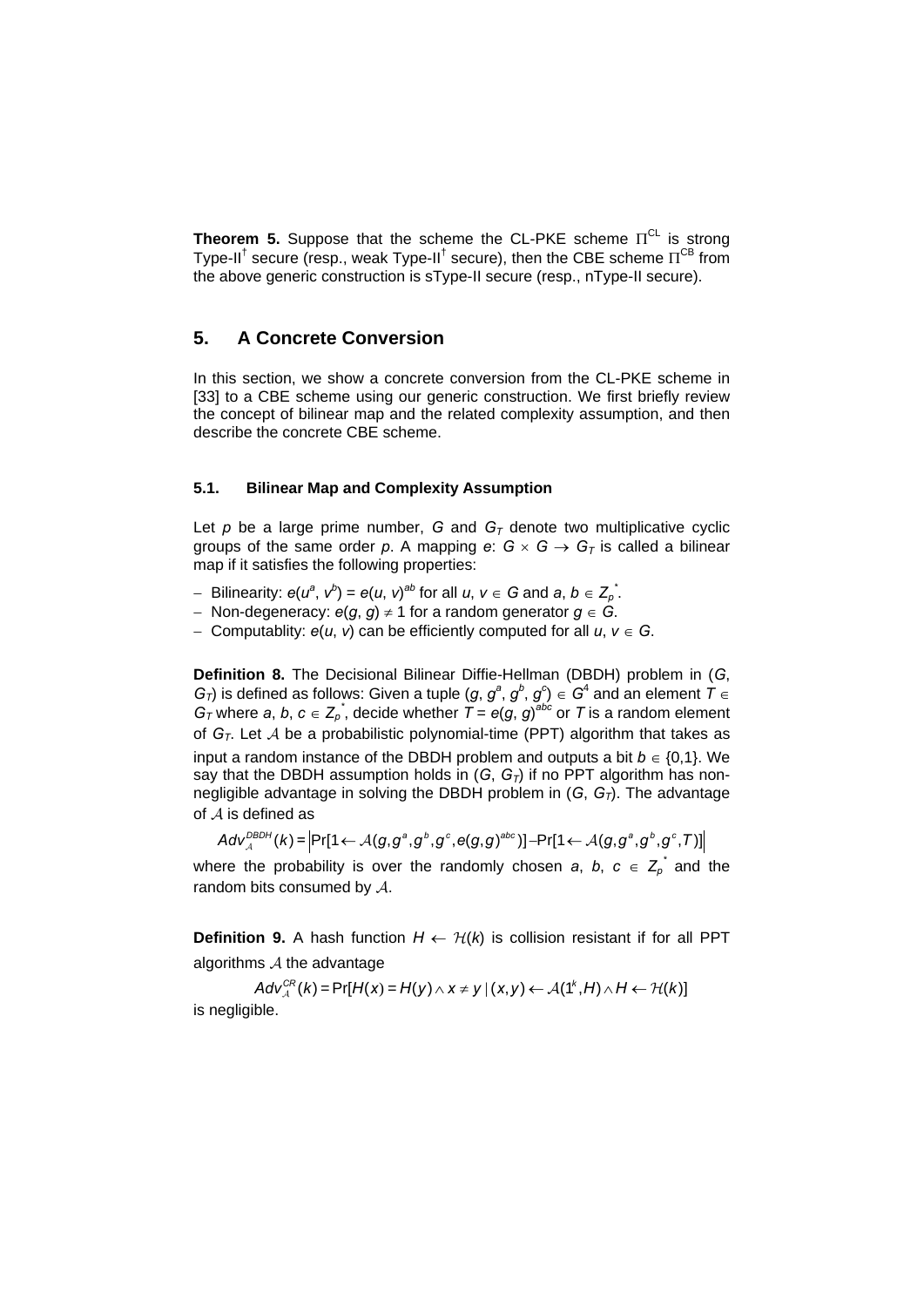**Theorem 5.** Suppose that the scheme the CL-PKE scheme  $\Pi^{CL}$  is strong Type-II<sup>†</sup> secure (resp., weak Type-II<sup>†</sup> secure), then the CBE scheme  $\Pi^{\text{CB}}$  from the above generic construction is sType-II secure (resp., nType-II secure).

# **5. A Concrete Conversion**

In this section, we show a concrete conversion from the CL-PKE scheme in [33] to a CBE scheme using our generic construction. We first briefly review the concept of bilinear map and the related complexity assumption, and then describe the concrete CBE scheme.

#### **5.1. Bilinear Map and Complexity Assumption**

Let  $p$  be a large prime number,  $G$  and  $G_T$  denote two multiplicative cyclic groups of the same order p. A mapping  $e: G \times G \rightarrow G$  is called a bilinear map if it satisfies the following properties:

- *−* Bilinearity:  $e(u^a, v^b) = e(u, v)^{ab}$  for all *u*, *v* ∈ *G* and *a*, *b* ∈  $Z_p$ <sup>\*</sup>.
- − Non-degeneracy: *e*(*g*, *g*) ≠ 1 for a random generator *g* ∈ *G*.
- − Computablity: *e*(*u*, *v*) can be efficiently computed for all *u*, *v* ∈ *G*.

**Definition 8.** The Decisional Bilinear Diffie-Hellman (DBDH) problem in (*G*, *G*<sub>*T*</sub>) is defined as follows: Given a tuple  $(g, g^a, g^b, g^c) \in G^4$  and an element  $T \in$ *G<sub>T</sub>* where *a*, *b*,  $c \in Z_p^*$ , decide whether  $T = e(g, g)^{abc}$  or *T* is a random element of  $G_T$ . Let A be a probabilistic polynomial-time (PPT) algorithm that takes as input a random instance of the DBDH problem and outputs a bit  $b \in \{0,1\}$ . We say that the DBDH assumption holds in  $(G, G)$  if no PPT algorithm has nonnegligible advantage in solving the DBDH problem in  $(G, G)$ . The advantage of  $A$  is defined as

$$
Adv_{\mathcal{A}}^{DBDH}(k) = \left| Pr[1 \leftarrow \mathcal{A}(g, g^a, g^b, g^c, e(g, g)^{abc})] - Pr[1 \leftarrow \mathcal{A}(g, g^a, g^b, g^c, T)] \right|
$$

where the probability is over the randomly chosen *a*, *b*,  $c \in Z_p^*$  and the random bits consumed by  $A$ .

**Definition 9.** A hash function  $H \leftarrow H(k)$  is collision resistant if for all PPT algorithms  $A$  the advantage

 $Adv_{A}^{CR}(k) = Pr[H(x) = H(y) \wedge x \neq y \mid (x, y) \leftarrow A(1^{k}, H) \wedge H \leftarrow H(k)]$ is negligible.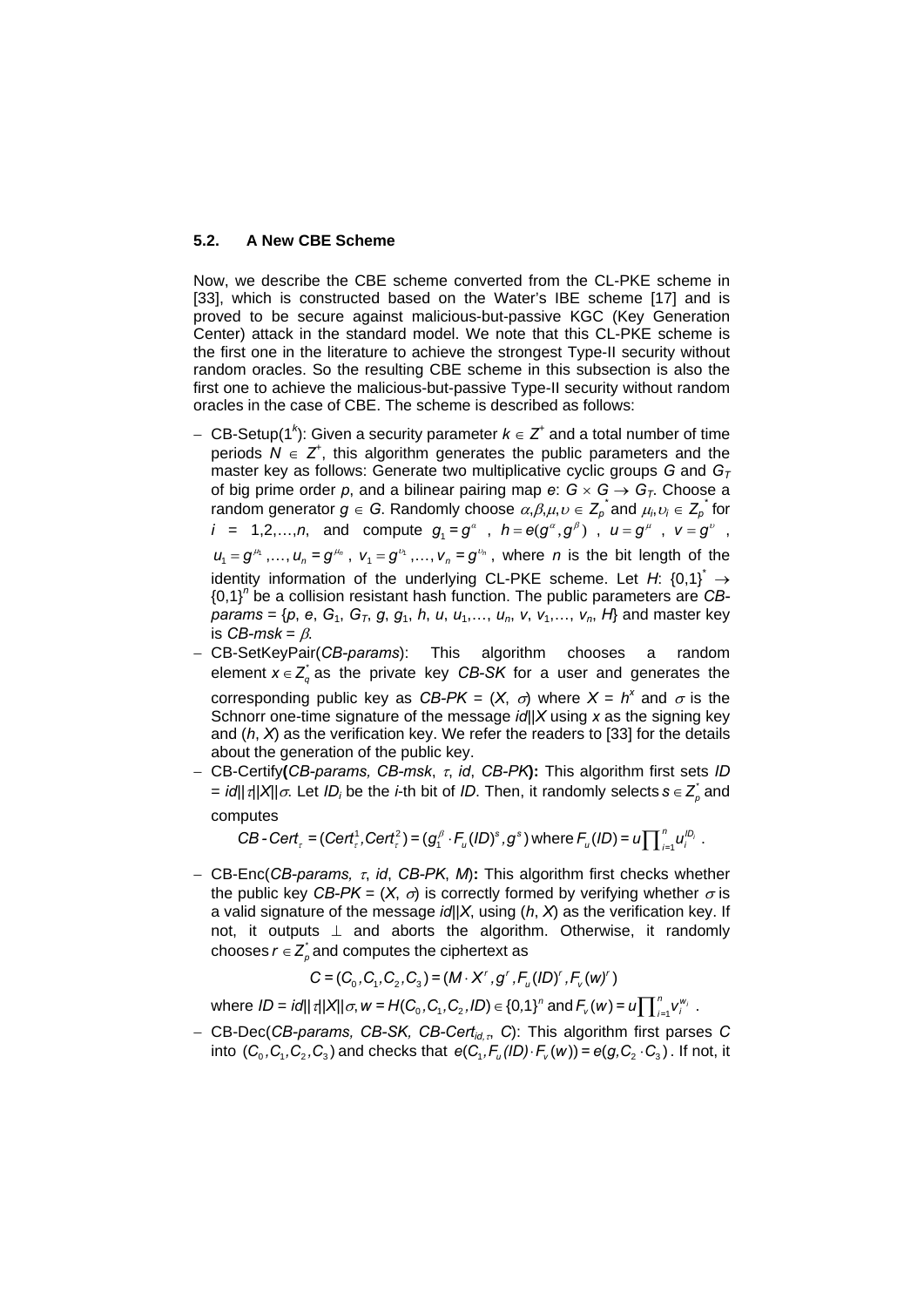#### **5.2. A New CBE Scheme**

Now, we describe the CBE scheme converted from the CL-PKE scheme in [33], which is constructed based on the Water's IBE scheme [17] and is proved to be secure against malicious-but-passive KGC (Key Generation Center) attack in the standard model. We note that this CL-PKE scheme is the first one in the literature to achieve the strongest Type-II security without random oracles. So the resulting CBE scheme in this subsection is also the first one to achieve the malicious-but-passive Type-II security without random oracles in the case of CBE. The scheme is described as follows:

- − CB-Setup(1*<sup>k</sup>* ): Given a security parameter *k* ∈ *Z*<sup>+</sup> and a total number of time periods  $N \in \mathbb{Z}^+$ , this algorithm generates the public parameters and the master key as follows: Generate two multiplicative cyclic groups *G* and *G<sub>T</sub>* of big prime order  $p$ , and a bilinear pairing map  $e: G \times G \rightarrow G_T$ . Choose a random generator  $g \in G$ . Randomly choose  $\alpha, \beta, \mu, \nu \in Z_p^*$  and  $\mu_i, \nu_i \in Z_p^*$  for  $i = 1, 2, \ldots, n$ , and compute  $g_1 = g^a$ ,  $h = e(g^a, g^{\beta})$ ,  $u = g^{\mu}$ ,  $v = g^{\nu}$ ,  $u_1 = g^{\mu_1}, \ldots, u_n = g^{\mu_n}$ ,  $v_1 = g^{\nu_1}, \ldots, v_n = g^{\nu_n}$ , where *n* is the bit length of the identity information of the underlying CL-PKE scheme. Let  $H: \{0,1\}^T \rightarrow$ {0,1}*<sup>n</sup>* be a collision resistant hash function. The public parameters are *CBparams* = { $p$ ,  $e$ ,  $G_1$ ,  $G_T$ ,  $g$ ,  $g_1$ ,  $h$ ,  $u$ ,  $u_1$ ,...,  $u_n$ ,  $v_1$ ,...,  $v_n$ ,  $H$ } and master key is  $CB\text{-}msk = \beta$ .
- − CB-SetKeyPair(*CB-params*): This algorithm chooses a random element  $x \in Z^*$  *as* the private key *CB-SK* for a user and generates the corresponding public key as  $CB-PK = (X, \sigma)$  where  $X = h^x$  and  $\sigma$  is the Schnorr one-time signature of the message *id*||*X* using *x* as the signing key and (*h*, *X*) as the verification key. We refer the readers to [33] for the details about the generation of the public key.
- − CB-Certify**(***CB-params, CB-msk*, τ, *id*, *CB-PK***):** This algorithm first sets *ID*  $=$  *id*|| $\tau$ ||X|| $\sigma$ . Let *ID<sub>i</sub>* be the *i*-th bit of *ID*. Then, it randomly selects  $s \in Z_p^*$  and computes

$$
CB-Cert_{\tau} = (Cert_{\tau}^1, Cert_{\tau}^2) = (g_1^{\beta} \cdot F_u(ID)^s, g^s) \text{ where } F_u(ID) = u \prod_{i=1}^n u_i^{D_i}.
$$

− CB-Enc(*CB-params,* τ, *id*, *CB-PK*, *M*)**:** This algorithm first checks whether the public key *CB-PK* =  $(X, \sigma)$  is correctly formed by verifying whether  $\sigma$  is a valid signature of the message *id*||*X*, using (*h*, *X*) as the verification key. If not, it outputs ⊥ and aborts the algorithm. Otherwise, it randomly chooses  $r \in Z_p^*$  and computes the ciphertext as

$$
C = (C_0, C_1, C_2, C_3) = (M \cdot X^r, g^r, F_u (ID)^r, F_v (w)^r)
$$

 $w$ here  $ID = id||\tau||X||\sigma, w = H(C_0, C_1, C_2, ID) \in \{0, 1\}^n$  and  $F_v(w) = u \prod_{i=1}^n v_i^{w_i}$ .

into  $(C_0, C_1, C_2, C_3)$  and checks that  $e(C_1, F_u(ID) \cdot F_v(w)) = e(g, C_2 \cdot C_3)$ . If not, it − CB-Dec(*CB-params, CB-SK, CB-Certid,*τ, *C*): This algorithm first parses *C*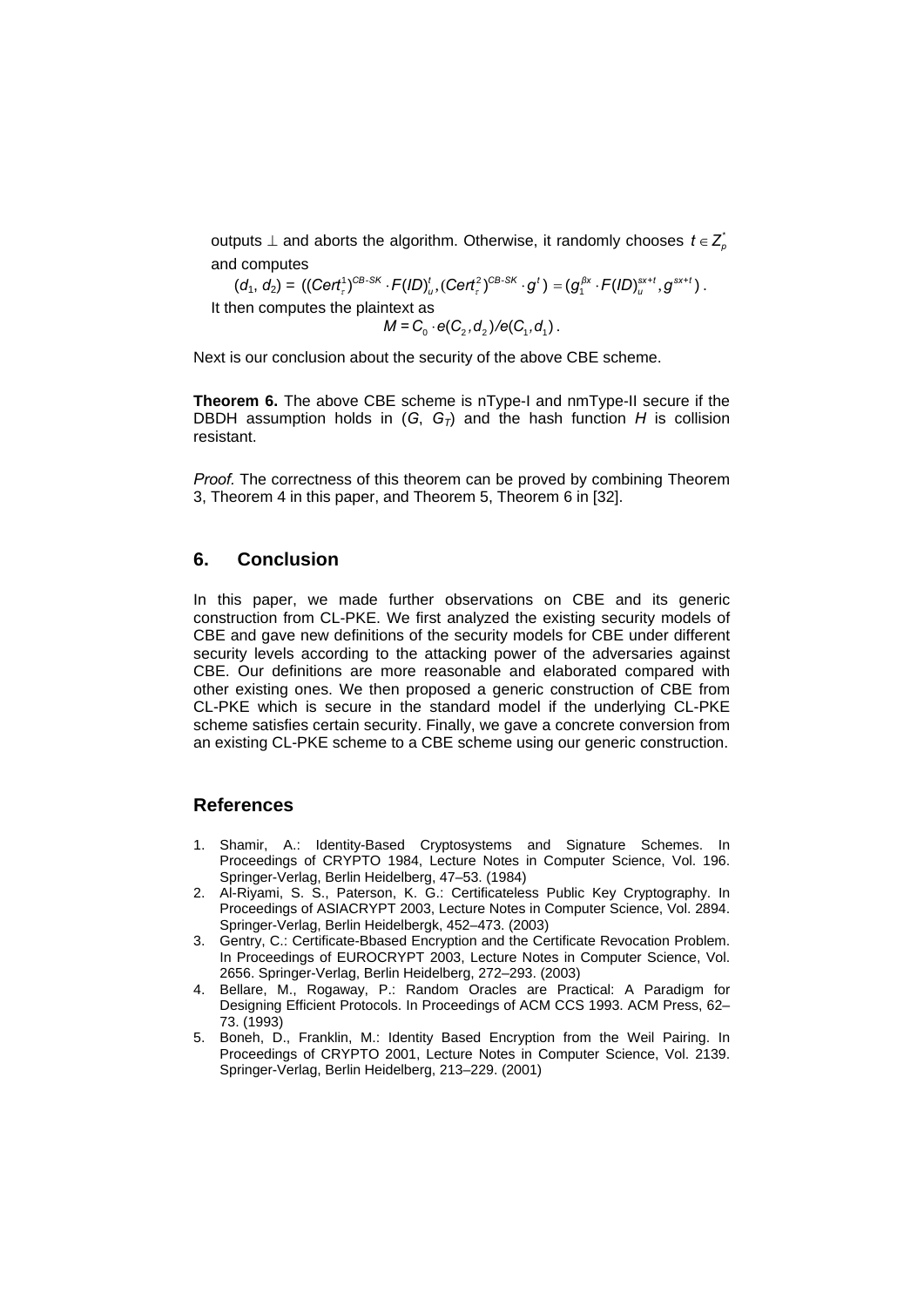outputs  $\perp$  and aborts the algorithm. Otherwise, it randomly chooses  $t \in Z^*_{\rho}$ and computes

 $(d_1, d_2) = ((Cent_{\tau}^1)^{CB-SK} \cdot F(ID_{\tau}^1, (Cent_{\tau}^2)^{CB-SK} \cdot g^t) = (g_1^{Bx} \cdot F(ID_{\tau}^{sxt}^1, g^{sxt})$ . It then computes the plaintext as

$$
M = C_0 \cdot e(C_2, d_2) / e(C_1, d_1).
$$

Next is our conclusion about the security of the above CBE scheme.

**Theorem 6.** The above CBE scheme is nType-I and nmType-II secure if the DBDH assumption holds in  $(G, G_T)$  and the hash function *H* is collision resistant.

*Proof.* The correctness of this theorem can be proved by combining Theorem 3, Theorem 4 in this paper, and Theorem 5, Theorem 6 in [32].

# **6. Conclusion**

In this paper, we made further observations on CBE and its generic construction from CL-PKE. We first analyzed the existing security models of CBE and gave new definitions of the security models for CBE under different security levels according to the attacking power of the adversaries against CBE. Our definitions are more reasonable and elaborated compared with other existing ones. We then proposed a generic construction of CBE from CL-PKE which is secure in the standard model if the underlying CL-PKE scheme satisfies certain security. Finally, we gave a concrete conversion from an existing CL-PKE scheme to a CBE scheme using our generic construction.

### **References**

- 1. Shamir, A.: Identity-Based Cryptosystems and Signature Schemes. In Proceedings of CRYPTO 1984, Lecture Notes in Computer Science, Vol. 196. Springer-Verlag, Berlin Heidelberg, 47–53. (1984)
- 2. Al-Riyami, S. S., Paterson, K. G.: Certificateless Public Key Cryptography. In Proceedings of ASIACRYPT 2003, Lecture Notes in Computer Science, Vol. 2894. Springer-Verlag, Berlin Heidelbergk, 452–473. (2003)
- 3. Gentry, C.: Certificate-Bbased Encryption and the Certificate Revocation Problem. In Proceedings of EUROCRYPT 2003, Lecture Notes in Computer Science, Vol. 2656. Springer-Verlag, Berlin Heidelberg, 272–293. (2003)
- 4. Bellare, M., Rogaway, P.: Random Oracles are Practical: A Paradigm for Designing Efficient Protocols. In Proceedings of ACM CCS 1993. ACM Press, 62– 73. (1993)
- 5. Boneh, D., Franklin, M.: Identity Based Encryption from the Weil Pairing. In Proceedings of CRYPTO 2001, Lecture Notes in Computer Science, Vol. 2139. Springer-Verlag, Berlin Heidelberg, 213–229. (2001)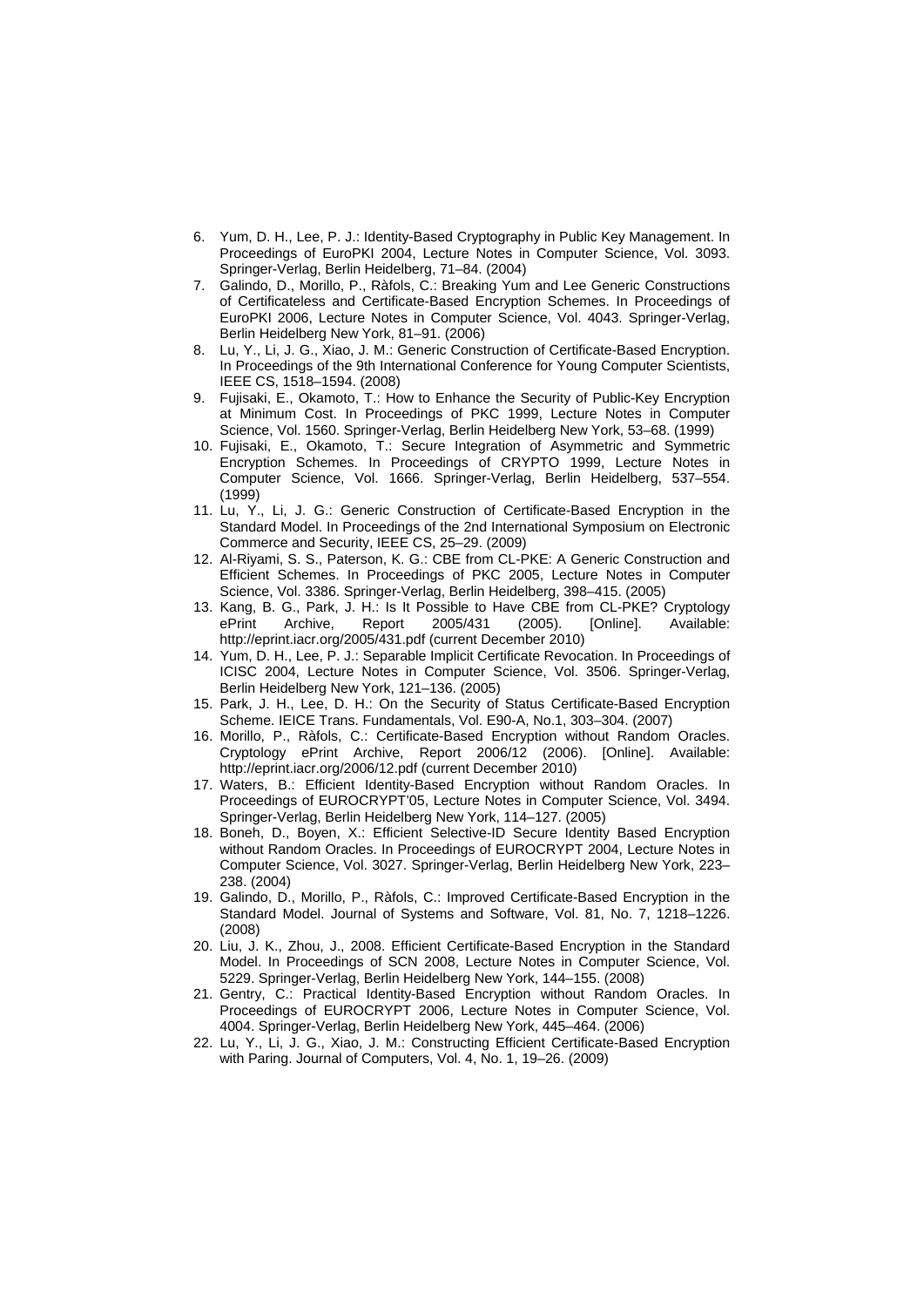- 6. Yum, D. H., Lee, P. J.: Identity-Based Cryptography in Public Key Management. In Proceedings of EuroPKI 2004, Lecture Notes in Computer Science, Vol. 3093. Springer-Verlag, Berlin Heidelberg, 71–84. (2004)
- 7. Galindo, D., Morillo, P., Ràfols, C.: Breaking Yum and Lee Generic Constructions of Certificateless and Certificate-Based Encryption Schemes. In Proceedings of EuroPKI 2006, Lecture Notes in Computer Science, Vol. 4043. Springer-Verlag, Berlin Heidelberg New York, 81–91. (2006)
- 8. Lu, Y., Li, J. G., Xiao, J. M.: Generic Construction of Certificate-Based Encryption. In Proceedings of the 9th International Conference for Young Computer Scientists, IEEE CS, 1518–1594. (2008)
- 9. Fujisaki, E., Okamoto, T.: How to Enhance the Security of Public-Key Encryption at Minimum Cost. In Proceedings of PKC 1999, Lecture Notes in Computer Science, Vol. 1560. Springer-Verlag, Berlin Heidelberg New York, 53–68. (1999)
- 10. Fujisaki, E., Okamoto, T.: Secure Integration of Asymmetric and Symmetric Encryption Schemes. In Proceedings of CRYPTO 1999, Lecture Notes in Computer Science, Vol. 1666. Springer-Verlag, Berlin Heidelberg, 537–554. (1999)
- 11. Lu, Y., Li, J. G.: Generic Construction of Certificate-Based Encryption in the Standard Model. In Proceedings of the 2nd International Symposium on Electronic Commerce and Security, IEEE CS, 25–29. (2009)
- 12. Al-Riyami, S. S., Paterson, K. G.: CBE from CL-PKE: A Generic Construction and Efficient Schemes. In Proceedings of PKC 2005, Lecture Notes in Computer Science, Vol. 3386. Springer-Verlag, Berlin Heidelberg, 398–415. (2005)
- 13. Kang, B. G., Park, J. H.: Is It Possible to Have CBE from CL-PKE? Cryptology ePrint Archive, Report 2005/431 (2005). [Online]. Available: http://eprint.iacr.org/2005/431.pdf (current December 2010)
- 14. Yum, D. H., Lee, P. J.: Separable Implicit Certificate Revocation. In Proceedings of ICISC 2004, Lecture Notes in Computer Science, Vol. 3506. Springer-Verlag, Berlin Heidelberg New York, 121–136. (2005)
- 15. Park, J. H., Lee, D. H.: On the Security of Status Certificate-Based Encryption Scheme. IEICE Trans. Fundamentals, Vol. E90-A, No.1, 303–304. (2007)
- 16. Morillo, P., Ràfols, C.: Certificate-Based Encryption without Random Oracles. Cryptology ePrint Archive, Report 2006/12 (2006). [Online]. Available: http://eprint.iacr.org/2006/12.pdf (current December 2010)
- 17. Waters, B.: Efficient Identity-Based Encryption without Random Oracles. In Proceedings of EUROCRYPT'05, Lecture Notes in Computer Science, Vol. 3494. Springer-Verlag, Berlin Heidelberg New York, 114–127. (2005)
- 18. Boneh, D., Boyen, X.: Efficient Selective-ID Secure Identity Based Encryption without Random Oracles. In Proceedings of EUROCRYPT 2004, Lecture Notes in Computer Science, Vol. 3027. Springer-Verlag, Berlin Heidelberg New York, 223– 238. (2004)
- 19. Galindo, D., Morillo, P., Ràfols, C.: Improved Certificate-Based Encryption in the Standard Model. Journal of Systems and Software, Vol. 81, No. 7, 1218–1226. (2008)
- 20. Liu, J. K., Zhou, J., 2008. Efficient Certificate-Based Encryption in the Standard Model. In Proceedings of SCN 2008, Lecture Notes in Computer Science, Vol. 5229. Springer-Verlag, Berlin Heidelberg New York, 144–155. (2008)
- 21. Gentry, C.: Practical Identity-Based Encryption without Random Oracles. In Proceedings of EUROCRYPT 2006, Lecture Notes in Computer Science, Vol. 4004. Springer-Verlag, Berlin Heidelberg New York, 445–464. (2006)
- 22. Lu, Y., Li, J. G., Xiao, J. M.: Constructing Efficient Certificate-Based Encryption with Paring. Journal of Computers, Vol. 4, No. 1, 19–26. (2009)